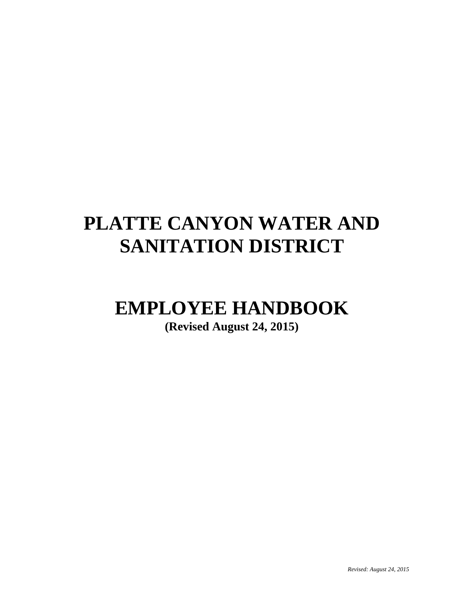## **PLATTE CANYON WATER AND SANITATION DISTRICT**

# **EMPLOYEE HANDBOOK**

**(Revised August 24, 2015)**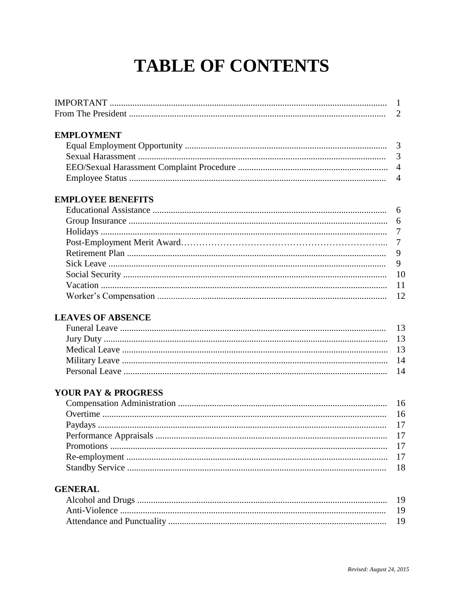## **TABLE OF CONTENTS**

| <b>IMPORTANT</b> |  |
|------------------|--|
|                  |  |

#### **EMPLOYMENT**

#### **EMPLOYEE BENEFITS**

#### **LEAVES OF ABSENCE**

#### YOUR PAY & PROGRESS

#### **GENERAL**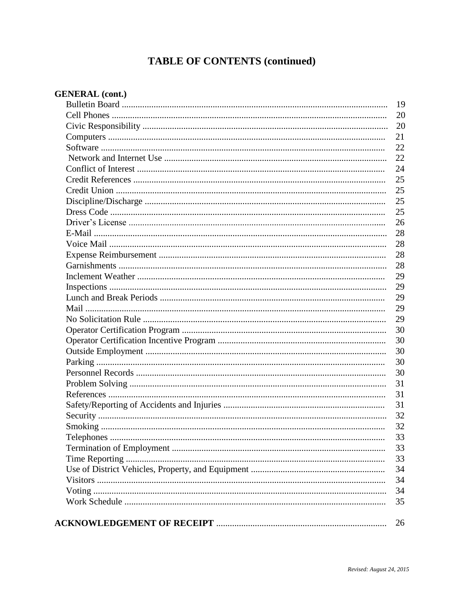### **TABLE OF CONTENTS (continued)**

| <b>GENERAL</b> (cont.) |  |
|------------------------|--|
|                        |  |
|                        |  |
|                        |  |
|                        |  |
|                        |  |
|                        |  |
|                        |  |
|                        |  |
|                        |  |
|                        |  |
|                        |  |
|                        |  |
|                        |  |
|                        |  |
|                        |  |
|                        |  |
|                        |  |
|                        |  |
|                        |  |
|                        |  |
|                        |  |
|                        |  |
|                        |  |
|                        |  |
|                        |  |
|                        |  |
|                        |  |
|                        |  |
|                        |  |
|                        |  |
|                        |  |
|                        |  |
|                        |  |
|                        |  |
|                        |  |
|                        |  |
|                        |  |
|                        |  |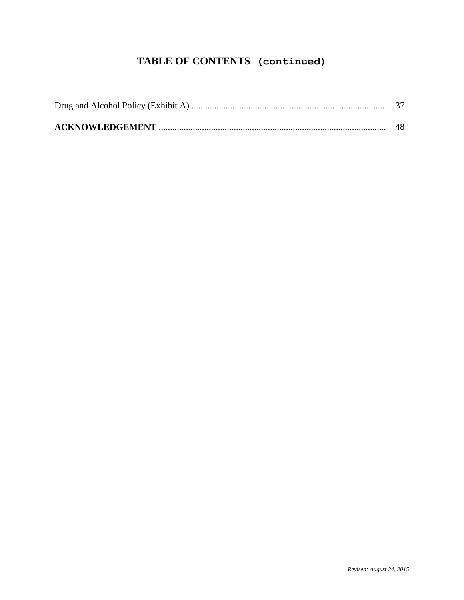### **TABLE OF CONTENTS (continued)**

| 48 |
|----|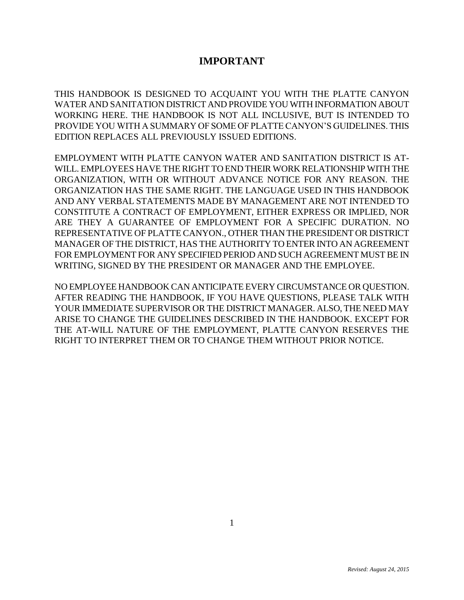#### **IMPORTANT**

THIS HANDBOOK IS DESIGNED TO ACQUAINT YOU WITH THE PLATTE CANYON WATER AND SANITATION DISTRICT AND PROVIDE YOU WITH INFORMATION ABOUT WORKING HERE. THE HANDBOOK IS NOT ALL INCLUSIVE, BUT IS INTENDED TO PROVIDE YOU WITH A SUMMARY OF SOME OF PLATTE CANYON'S GUIDELINES. THIS EDITION REPLACES ALL PREVIOUSLY ISSUED EDITIONS.

EMPLOYMENT WITH PLATTE CANYON WATER AND SANITATION DISTRICT IS AT-WILL. EMPLOYEES HAVE THE RIGHT TO END THEIR WORK RELATIONSHIP WITH THE ORGANIZATION, WITH OR WITHOUT ADVANCE NOTICE FOR ANY REASON. THE ORGANIZATION HAS THE SAME RIGHT. THE LANGUAGE USED IN THIS HANDBOOK AND ANY VERBAL STATEMENTS MADE BY MANAGEMENT ARE NOT INTENDED TO CONSTITUTE A CONTRACT OF EMPLOYMENT, EITHER EXPRESS OR IMPLIED, NOR ARE THEY A GUARANTEE OF EMPLOYMENT FOR A SPECIFIC DURATION. NO REPRESENTATIVE OF PLATTE CANYON., OTHER THAN THE PRESIDENT OR DISTRICT MANAGER OF THE DISTRICT, HAS THE AUTHORITY TO ENTER INTO AN AGREEMENT FOR EMPLOYMENT FOR ANY SPECIFIED PERIOD AND SUCH AGREEMENT MUST BE IN WRITING, SIGNED BY THE PRESIDENT OR MANAGER AND THE EMPLOYEE.

NO EMPLOYEE HANDBOOK CAN ANTICIPATE EVERY CIRCUMSTANCE OR QUESTION. AFTER READING THE HANDBOOK, IF YOU HAVE QUESTIONS, PLEASE TALK WITH YOUR IMMEDIATE SUPERVISOR OR THE DISTRICT MANAGER. ALSO, THE NEED MAY ARISE TO CHANGE THE GUIDELINES DESCRIBED IN THE HANDBOOK. EXCEPT FOR THE AT-WILL NATURE OF THE EMPLOYMENT, PLATTE CANYON RESERVES THE RIGHT TO INTERPRET THEM OR TO CHANGE THEM WITHOUT PRIOR NOTICE.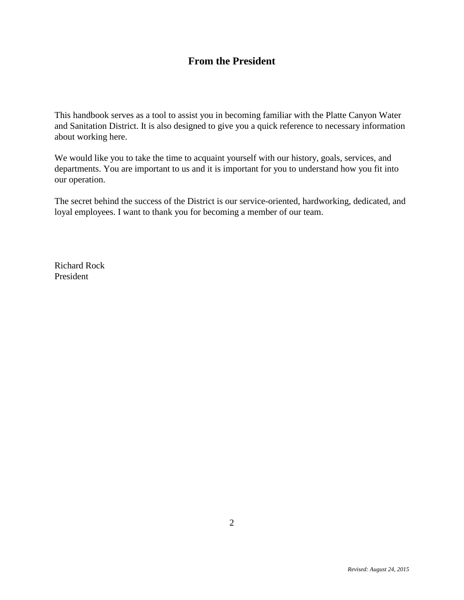#### **From the President**

This handbook serves as a tool to assist you in becoming familiar with the Platte Canyon Water and Sanitation District. It is also designed to give you a quick reference to necessary information about working here.

We would like you to take the time to acquaint yourself with our history, goals, services, and departments. You are important to us and it is important for you to understand how you fit into our operation.

The secret behind the success of the District is our service-oriented, hardworking, dedicated, and loyal employees. I want to thank you for becoming a member of our team.

Richard Rock President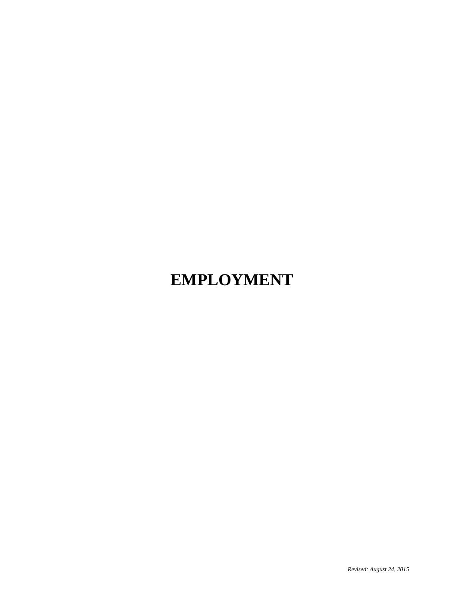## **EMPLOYMENT**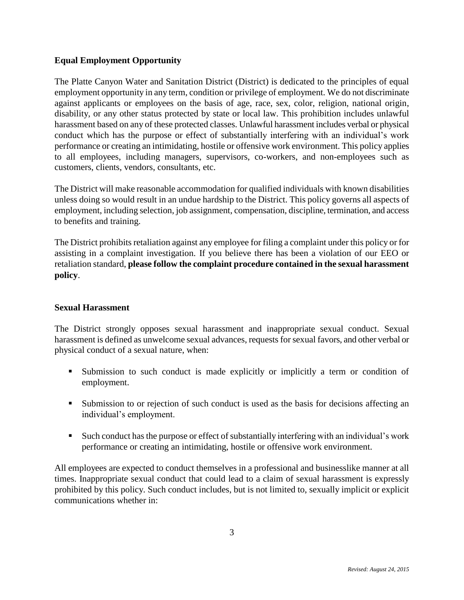#### **Equal Employment Opportunity**

The Platte Canyon Water and Sanitation District (District) is dedicated to the principles of equal employment opportunity in any term, condition or privilege of employment. We do not discriminate against applicants or employees on the basis of age, race, sex, color, religion, national origin, disability, or any other status protected by state or local law. This prohibition includes unlawful harassment based on any of these protected classes. Unlawful harassment includes verbal or physical conduct which has the purpose or effect of substantially interfering with an individual's work performance or creating an intimidating, hostile or offensive work environment. This policy applies to all employees, including managers, supervisors, co-workers, and non-employees such as customers, clients, vendors, consultants, etc.

The District will make reasonable accommodation for qualified individuals with known disabilities unless doing so would result in an undue hardship to the District. This policy governs all aspects of employment, including selection, job assignment, compensation, discipline, termination, and access to benefits and training.

The District prohibits retaliation against any employee for filing a complaint under this policy or for assisting in a complaint investigation. If you believe there has been a violation of our EEO or retaliation standard, **please follow the complaint procedure contained in the sexual harassment policy**.

#### **Sexual Harassment**

The District strongly opposes sexual harassment and inappropriate sexual conduct. Sexual harassment is defined as unwelcome sexual advances, requests for sexual favors, and other verbal or physical conduct of a sexual nature, when:

- Submission to such conduct is made explicitly or implicitly a term or condition of employment.
- Submission to or rejection of such conduct is used as the basis for decisions affecting an individual's employment.
- Such conduct has the purpose or effect of substantially interfering with an individual's work performance or creating an intimidating, hostile or offensive work environment.

All employees are expected to conduct themselves in a professional and businesslike manner at all times. Inappropriate sexual conduct that could lead to a claim of sexual harassment is expressly prohibited by this policy. Such conduct includes, but is not limited to, sexually implicit or explicit communications whether in: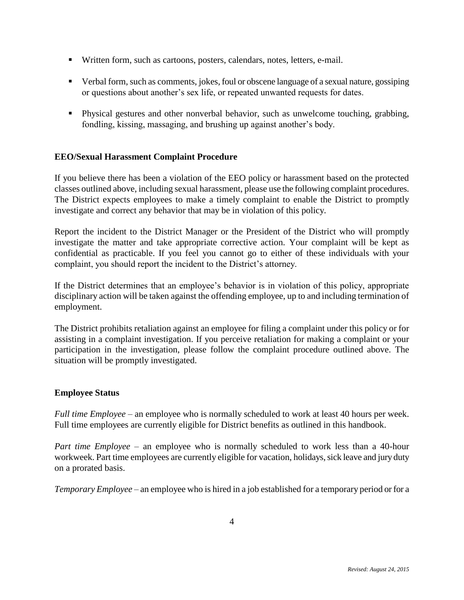- Written form, such as cartoons, posters, calendars, notes, letters, e-mail.
- Verbal form, such as comments, jokes, foul or obscene language of a sexual nature, gossiping or questions about another's sex life, or repeated unwanted requests for dates.
- Physical gestures and other nonverbal behavior, such as unwelcome touching, grabbing, fondling, kissing, massaging, and brushing up against another's body.

#### **EEO/Sexual Harassment Complaint Procedure**

If you believe there has been a violation of the EEO policy or harassment based on the protected classes outlined above, including sexual harassment, please use the following complaint procedures. The District expects employees to make a timely complaint to enable the District to promptly investigate and correct any behavior that may be in violation of this policy.

Report the incident to the District Manager or the President of the District who will promptly investigate the matter and take appropriate corrective action. Your complaint will be kept as confidential as practicable. If you feel you cannot go to either of these individuals with your complaint, you should report the incident to the District's attorney.

If the District determines that an employee's behavior is in violation of this policy, appropriate disciplinary action will be taken against the offending employee, up to and including termination of employment.

The District prohibits retaliation against an employee for filing a complaint under this policy or for assisting in a complaint investigation. If you perceive retaliation for making a complaint or your participation in the investigation, please follow the complaint procedure outlined above. The situation will be promptly investigated.

#### **Employee Status**

*Full time Employee* – an employee who is normally scheduled to work at least 40 hours per week. Full time employees are currently eligible for District benefits as outlined in this handbook.

*Part time Employee* – an employee who is normally scheduled to work less than a 40-hour workweek. Part time employees are currently eligible for vacation, holidays, sick leave and jury duty on a prorated basis.

*Temporary Employee* – an employee who is hired in a job established for a temporary period or for a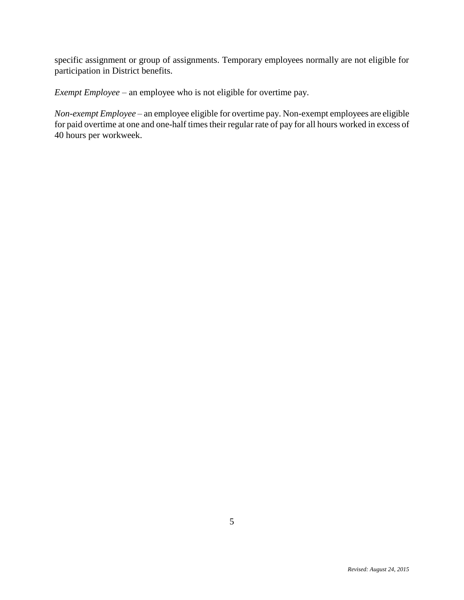specific assignment or group of assignments. Temporary employees normally are not eligible for participation in District benefits.

*Exempt Employee* – an employee who is not eligible for overtime pay.

*Non-exempt Employee* – an employee eligible for overtime pay. Non-exempt employees are eligible for paid overtime at one and one-half times their regular rate of pay for all hours worked in excess of 40 hours per workweek.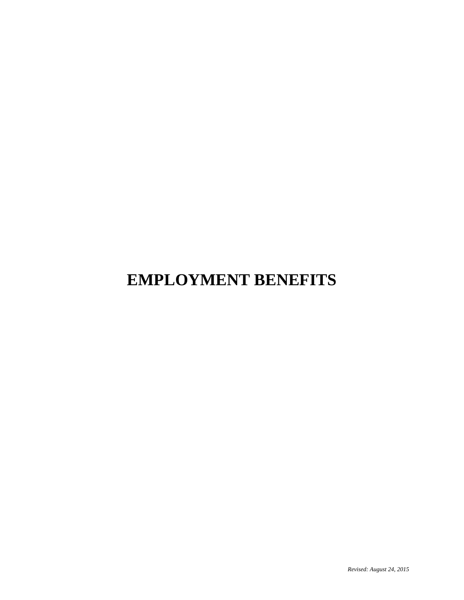## **EMPLOYMENT BENEFITS**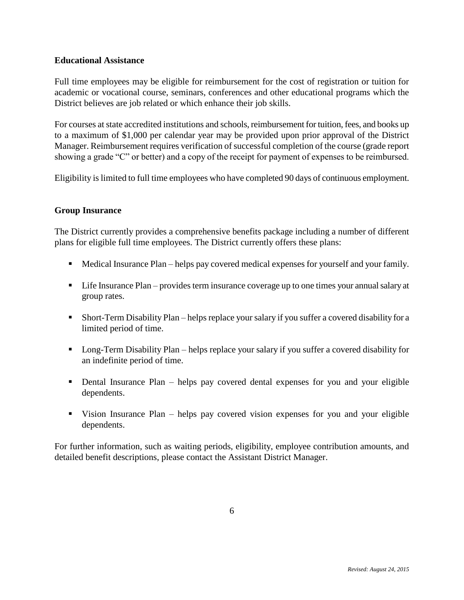#### **Educational Assistance**

Full time employees may be eligible for reimbursement for the cost of registration or tuition for academic or vocational course, seminars, conferences and other educational programs which the District believes are job related or which enhance their job skills.

For courses at state accredited institutions and schools, reimbursement for tuition, fees, and books up to a maximum of \$1,000 per calendar year may be provided upon prior approval of the District Manager. Reimbursement requires verification of successful completion of the course (grade report showing a grade "C" or better) and a copy of the receipt for payment of expenses to be reimbursed.

Eligibility is limited to full time employees who have completed 90 days of continuous employment.

#### **Group Insurance**

The District currently provides a comprehensive benefits package including a number of different plans for eligible full time employees. The District currently offers these plans:

- Medical Insurance Plan helps pay covered medical expenses for yourself and your family.
- Life Insurance Plan provides term insurance coverage up to one times your annual salary at group rates.
- Short-Term Disability Plan helps replace your salary if you suffer a covered disability for a limited period of time.
- Long-Term Disability Plan helps replace your salary if you suffer a covered disability for an indefinite period of time.
- Dental Insurance Plan helps pay covered dental expenses for you and your eligible dependents.
- Vision Insurance Plan helps pay covered vision expenses for you and your eligible dependents.

For further information, such as waiting periods, eligibility, employee contribution amounts, and detailed benefit descriptions, please contact the Assistant District Manager.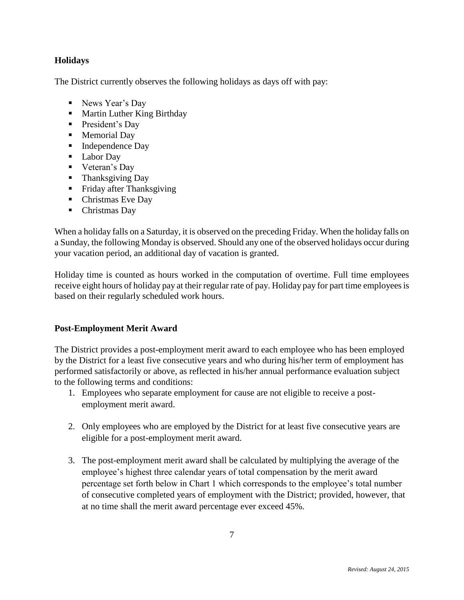#### **Holidays**

The District currently observes the following holidays as days off with pay:

- News Year's Day
- **Martin Luther King Birthday**
- **President's Day**
- **Memorial Day**
- Independence Day
- Labor Day
- **veteran's Day**
- Thanksgiving Day
- **Fiday after Thanksgiving**
- Christmas Eve Day
- Christmas Day

When a holiday falls on a Saturday, it is observed on the preceding Friday. When the holiday falls on a Sunday, the following Monday is observed. Should any one of the observed holidays occur during your vacation period, an additional day of vacation is granted.

Holiday time is counted as hours worked in the computation of overtime. Full time employees receive eight hours of holiday pay at their regular rate of pay. Holiday pay for part time employees is based on their regularly scheduled work hours.

#### **Post-Employment Merit Award**

The District provides a post-employment merit award to each employee who has been employed by the District for a least five consecutive years and who during his/her term of employment has performed satisfactorily or above, as reflected in his/her annual performance evaluation subject to the following terms and conditions:

- 1. Employees who separate employment for cause are not eligible to receive a postemployment merit award.
- 2. Only employees who are employed by the District for at least five consecutive years are eligible for a post-employment merit award.
- 3. The post-employment merit award shall be calculated by multiplying the average of the employee's highest three calendar years of total compensation by the merit award percentage set forth below in Chart 1 which corresponds to the employee's total number of consecutive completed years of employment with the District; provided, however, that at no time shall the merit award percentage ever exceed 45%.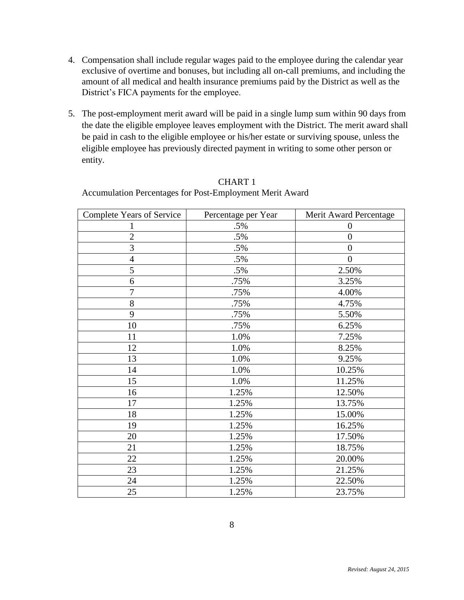- 4. Compensation shall include regular wages paid to the employee during the calendar year exclusive of overtime and bonuses, but including all on-call premiums, and including the amount of all medical and health insurance premiums paid by the District as well as the District's FICA payments for the employee.
- 5. The post-employment merit award will be paid in a single lump sum within 90 days from the date the eligible employee leaves employment with the District. The merit award shall be paid in cash to the eligible employee or his/her estate or surviving spouse, unless the eligible employee has previously directed payment in writing to some other person or entity.

| <b>Complete Years of Service</b> | Percentage per Year | Merit Award Percentage |
|----------------------------------|---------------------|------------------------|
| 1                                | $.5\%$              | $\overline{0}$         |
| $\overline{2}$                   | $.5\%$              | $\boldsymbol{0}$       |
| 3                                | $.5\%$              | $\boldsymbol{0}$       |
| $\overline{4}$                   | $.5\%$              | $\overline{0}$         |
| 5                                | .5%                 | 2.50%                  |
| 6                                | .75%                | 3.25%                  |
| $\tau$                           | .75%                | 4.00%                  |
| 8                                | .75%                | 4.75%                  |
| 9                                | .75%                | 5.50%                  |
| 10                               | .75%                | 6.25%                  |
| 11                               | 1.0%                | 7.25%                  |
| 12                               | 1.0%                | 8.25%                  |
| 13                               | 1.0%                | 9.25%                  |
| 14                               | 1.0%                | 10.25%                 |
| 15                               | 1.0%                | 11.25%                 |
| 16                               | 1.25%               | 12.50%                 |
| 17                               | 1.25%               | 13.75%                 |
| 18                               | 1.25%               | 15.00%                 |
| 19                               | 1.25%               | 16.25%                 |
| 20                               | 1.25%               | 17.50%                 |
| 21                               | 1.25%               | 18.75%                 |
| 22                               | 1.25%               | 20.00%                 |
| 23                               | 1.25%               | 21.25%                 |
| 24                               | 1.25%               | 22.50%                 |
| 25                               | 1.25%               | 23.75%                 |

#### CHART 1 Accumulation Percentages for Post-Employment Merit Award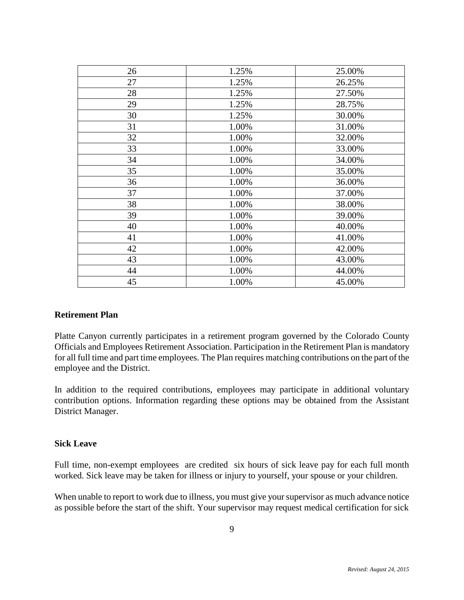| 26 | 1.25% | 25.00% |
|----|-------|--------|
|    |       |        |
| 27 | 1.25% | 26.25% |
| 28 | 1.25% | 27.50% |
| 29 | 1.25% | 28.75% |
| 30 | 1.25% | 30.00% |
| 31 | 1.00% | 31.00% |
| 32 | 1.00% | 32.00% |
| 33 | 1.00% | 33.00% |
| 34 | 1.00% | 34.00% |
| 35 | 1.00% | 35.00% |
| 36 | 1.00% | 36.00% |
| 37 | 1.00% | 37.00% |
| 38 | 1.00% | 38.00% |
| 39 | 1.00% | 39.00% |
| 40 | 1.00% | 40.00% |
| 41 | 1.00% | 41.00% |
| 42 | 1.00% | 42.00% |
| 43 | 1.00% | 43.00% |
| 44 | 1.00% | 44.00% |
| 45 | 1.00% | 45.00% |

#### **Retirement Plan**

Platte Canyon currently participates in a retirement program governed by the Colorado County Officials and Employees Retirement Association. Participation in the Retirement Plan is mandatory for all full time and part time employees. The Plan requires matching contributions on the part of the employee and the District.

In addition to the required contributions, employees may participate in additional voluntary contribution options. Information regarding these options may be obtained from the Assistant District Manager.

#### **Sick Leave**

Full time, non-exempt employees are credited six hours of sick leave pay for each full month worked. Sick leave may be taken for illness or injury to yourself, your spouse or your children.

When unable to report to work due to illness, you must give your supervisor as much advance notice as possible before the start of the shift. Your supervisor may request medical certification for sick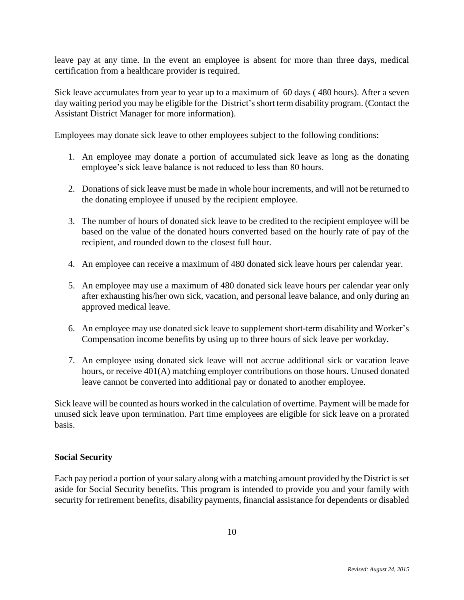leave pay at any time. In the event an employee is absent for more than three days, medical certification from a healthcare provider is required.

Sick leave accumulates from year to year up to a maximum of 60 days ( 480 hours). After a seven day waiting period you may be eligible for the District's short term disability program. (Contact the Assistant District Manager for more information).

Employees may donate sick leave to other employees subject to the following conditions:

- 1. An employee may donate a portion of accumulated sick leave as long as the donating employee's sick leave balance is not reduced to less than 80 hours.
- 2. Donations of sick leave must be made in whole hour increments, and will not be returned to the donating employee if unused by the recipient employee.
- 3. The number of hours of donated sick leave to be credited to the recipient employee will be based on the value of the donated hours converted based on the hourly rate of pay of the recipient, and rounded down to the closest full hour.
- 4. An employee can receive a maximum of 480 donated sick leave hours per calendar year.
- 5. An employee may use a maximum of 480 donated sick leave hours per calendar year only after exhausting his/her own sick, vacation, and personal leave balance, and only during an approved medical leave.
- 6. An employee may use donated sick leave to supplement short-term disability and Worker's Compensation income benefits by using up to three hours of sick leave per workday.
- 7. An employee using donated sick leave will not accrue additional sick or vacation leave hours, or receive 401(A) matching employer contributions on those hours. Unused donated leave cannot be converted into additional pay or donated to another employee.

Sick leave will be counted as hours worked in the calculation of overtime. Payment will be made for unused sick leave upon termination. Part time employees are eligible for sick leave on a prorated basis.

#### **Social Security**

Each pay period a portion of your salary along with a matching amount provided by the District is set aside for Social Security benefits. This program is intended to provide you and your family with security for retirement benefits, disability payments, financial assistance for dependents or disabled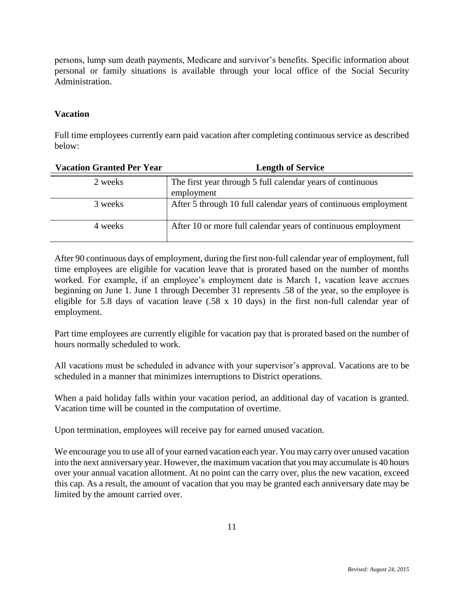persons, lump sum death payments, Medicare and survivor's benefits. Specific information about personal or family situations is available through your local office of the Social Security Administration.

#### **Vacation**

Full time employees currently earn paid vacation after completing continuous service as described below:

| <b>Vacation Granted Per Year</b> | <b>Length of Service</b>                                                 |
|----------------------------------|--------------------------------------------------------------------------|
| 2 weeks                          | The first year through 5 full calendar years of continuous<br>employment |
| 3 weeks                          | After 5 through 10 full calendar years of continuous employment          |
| 4 weeks                          | After 10 or more full calendar years of continuous employment            |

After 90 continuous days of employment, during the first non-full calendar year of employment, full time employees are eligible for vacation leave that is prorated based on the number of months worked. For example, if an employee's employment date is March 1, vacation leave accrues beginning on June 1. June 1 through December 31 represents .58 of the year, so the employee is eligible for 5.8 days of vacation leave (.58 x 10 days) in the first non-full calendar year of employment.

Part time employees are currently eligible for vacation pay that is prorated based on the number of hours normally scheduled to work.

All vacations must be scheduled in advance with your supervisor's approval. Vacations are to be scheduled in a manner that minimizes interruptions to District operations.

When a paid holiday falls within your vacation period, an additional day of vacation is granted. Vacation time will be counted in the computation of overtime.

Upon termination, employees will receive pay for earned unused vacation.

We encourage you to use all of your earned vacation each year. You may carry over unused vacation into the next anniversary year. However, the maximum vacation that you may accumulate is 40 hours over your annual vacation allotment. At no point can the carry over, plus the new vacation, exceed this cap. As a result, the amount of vacation that you may be granted each anniversary date may be limited by the amount carried over.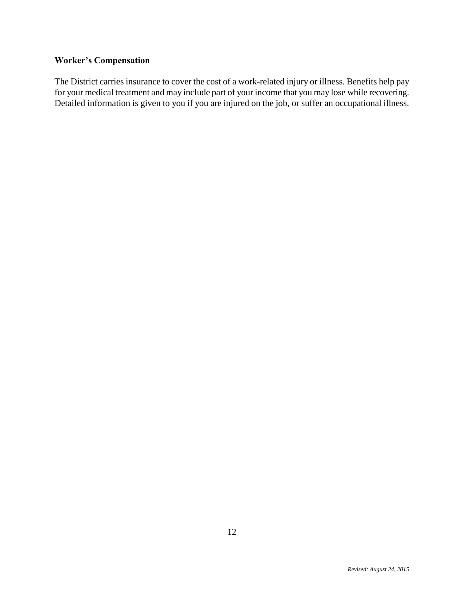#### **Worker's Compensation**

The District carries insurance to cover the cost of a work-related injury or illness. Benefits help pay for your medical treatment and may include part of your income that you may lose while recovering. Detailed information is given to you if you are injured on the job, or suffer an occupational illness.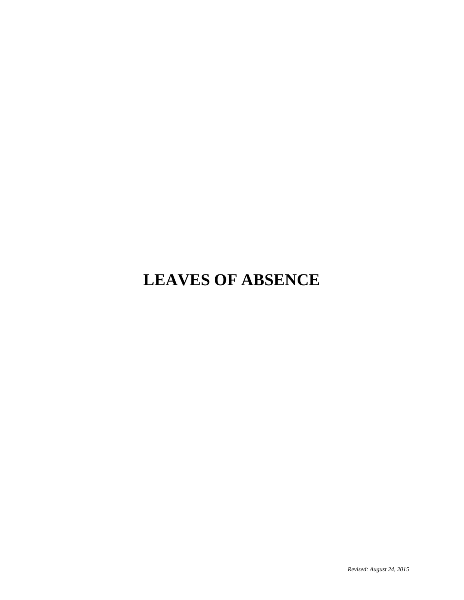## **LEAVES OF ABSENCE**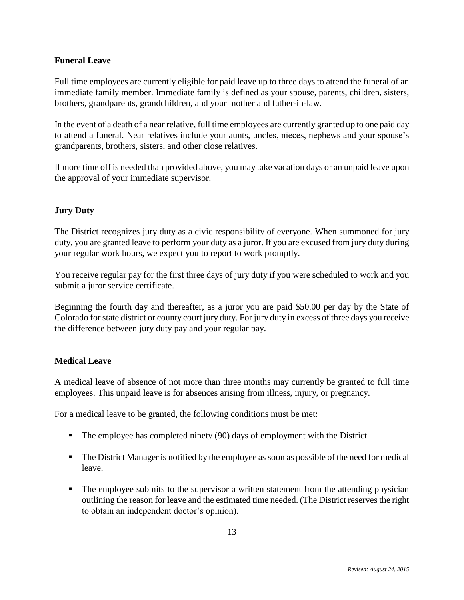#### **Funeral Leave**

Full time employees are currently eligible for paid leave up to three days to attend the funeral of an immediate family member. Immediate family is defined as your spouse, parents, children, sisters, brothers, grandparents, grandchildren, and your mother and father-in-law.

In the event of a death of a near relative, full time employees are currently granted up to one paid day to attend a funeral. Near relatives include your aunts, uncles, nieces, nephews and your spouse's grandparents, brothers, sisters, and other close relatives.

If more time off is needed than provided above, you may take vacation days or an unpaid leave upon the approval of your immediate supervisor.

#### **Jury Duty**

The District recognizes jury duty as a civic responsibility of everyone. When summoned for jury duty, you are granted leave to perform your duty as a juror. If you are excused from jury duty during your regular work hours, we expect you to report to work promptly.

You receive regular pay for the first three days of jury duty if you were scheduled to work and you submit a juror service certificate.

Beginning the fourth day and thereafter, as a juror you are paid \$50.00 per day by the State of Colorado for state district or county court jury duty. For jury duty in excess of three days you receive the difference between jury duty pay and your regular pay.

#### **Medical Leave**

A medical leave of absence of not more than three months may currently be granted to full time employees. This unpaid leave is for absences arising from illness, injury, or pregnancy.

For a medical leave to be granted, the following conditions must be met:

- The employee has completed ninety (90) days of employment with the District.
- The District Manager is notified by the employee as soon as possible of the need for medical leave.
- The employee submits to the supervisor a written statement from the attending physician outlining the reason for leave and the estimated time needed. (The District reserves the right to obtain an independent doctor's opinion).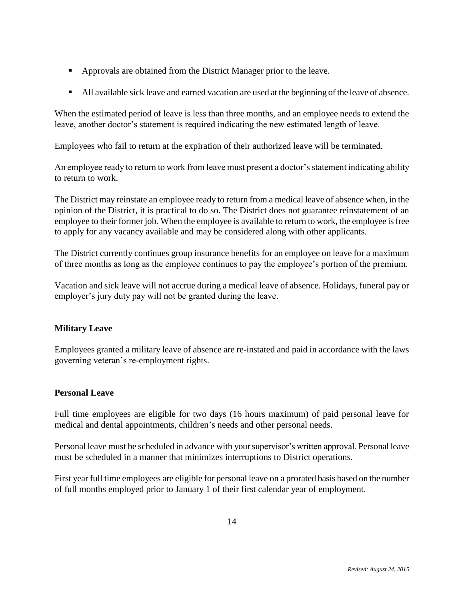- **Approvals are obtained from the District Manager prior to the leave.**
- All available sick leave and earned vacation are used at the beginning of the leave of absence.

When the estimated period of leave is less than three months, and an employee needs to extend the leave, another doctor's statement is required indicating the new estimated length of leave.

Employees who fail to return at the expiration of their authorized leave will be terminated.

An employee ready to return to work from leave must present a doctor's statement indicating ability to return to work.

The District may reinstate an employee ready to return from a medical leave of absence when, in the opinion of the District, it is practical to do so. The District does not guarantee reinstatement of an employee to their former job. When the employee is available to return to work, the employee is free to apply for any vacancy available and may be considered along with other applicants.

The District currently continues group insurance benefits for an employee on leave for a maximum of three months as long as the employee continues to pay the employee's portion of the premium.

Vacation and sick leave will not accrue during a medical leave of absence. Holidays, funeral pay or employer's jury duty pay will not be granted during the leave.

#### **Military Leave**

Employees granted a military leave of absence are re-instated and paid in accordance with the laws governing veteran's re-employment rights.

#### **Personal Leave**

Full time employees are eligible for two days (16 hours maximum) of paid personal leave for medical and dental appointments, children's needs and other personal needs.

Personal leave must be scheduled in advance with yoursupervisor's written approval. Personal leave must be scheduled in a manner that minimizes interruptions to District operations.

First year full time employees are eligible for personal leave on a prorated basis based on the number of full months employed prior to January 1 of their first calendar year of employment.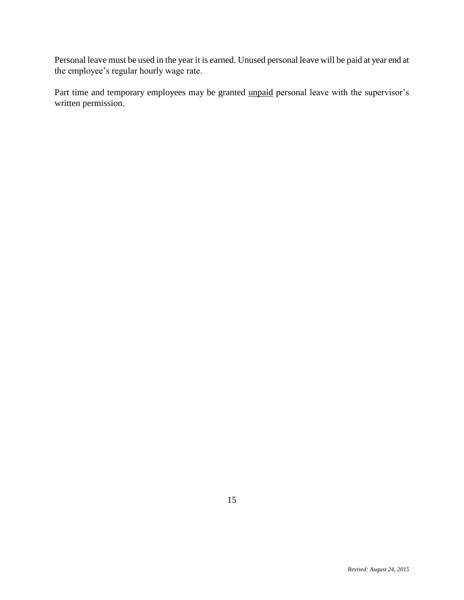Personal leave must be used in the year it is earned. Unused personal leave will be paid at year end at the employee's regular hourly wage rate.

Part time and temporary employees may be granted unpaid personal leave with the supervisor's written permission.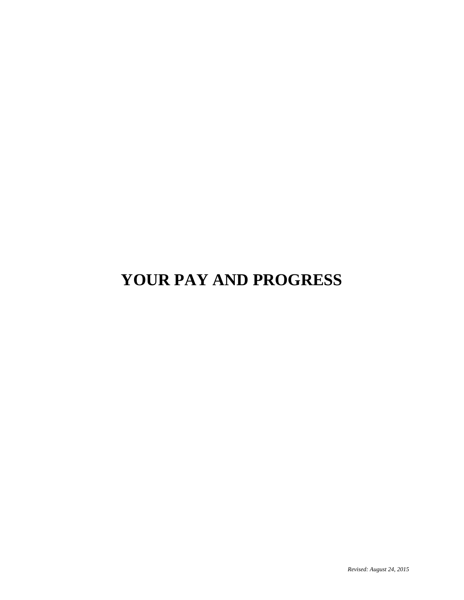## **YOUR PAY AND PROGRESS**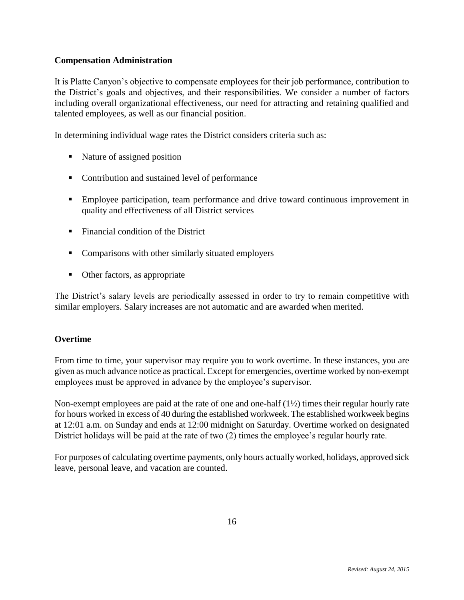#### **Compensation Administration**

It is Platte Canyon's objective to compensate employees for their job performance, contribution to the District's goals and objectives, and their responsibilities. We consider a number of factors including overall organizational effectiveness, our need for attracting and retaining qualified and talented employees, as well as our financial position.

In determining individual wage rates the District considers criteria such as:

- Nature of assigned position
- Contribution and sustained level of performance
- Employee participation, team performance and drive toward continuous improvement in quality and effectiveness of all District services
- Financial condition of the District
- Comparisons with other similarly situated employers
- Other factors, as appropriate

The District's salary levels are periodically assessed in order to try to remain competitive with similar employers. Salary increases are not automatic and are awarded when merited.

#### **Overtime**

From time to time, your supervisor may require you to work overtime. In these instances, you are given as much advance notice as practical. Except for emergencies, overtime worked by non-exempt employees must be approved in advance by the employee's supervisor.

Non-exempt employees are paid at the rate of one and one-half  $(1\frac{1}{2})$  times their regular hourly rate for hours worked in excess of 40 during the established workweek. The established workweek begins at 12:01 a.m. on Sunday and ends at 12:00 midnight on Saturday. Overtime worked on designated District holidays will be paid at the rate of two (2) times the employee's regular hourly rate.

For purposes of calculating overtime payments, only hours actually worked, holidays, approved sick leave, personal leave, and vacation are counted.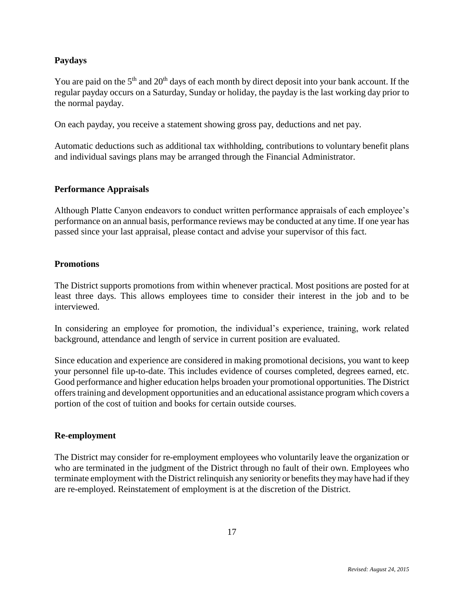#### **Paydays**

You are paid on the  $5<sup>th</sup>$  and  $20<sup>th</sup>$  days of each month by direct deposit into your bank account. If the regular payday occurs on a Saturday, Sunday or holiday, the payday is the last working day prior to the normal payday.

On each payday, you receive a statement showing gross pay, deductions and net pay.

Automatic deductions such as additional tax withholding, contributions to voluntary benefit plans and individual savings plans may be arranged through the Financial Administrator.

#### **Performance Appraisals**

Although Platte Canyon endeavors to conduct written performance appraisals of each employee's performance on an annual basis, performance reviews may be conducted at any time. If one year has passed since your last appraisal, please contact and advise your supervisor of this fact.

#### **Promotions**

The District supports promotions from within whenever practical. Most positions are posted for at least three days. This allows employees time to consider their interest in the job and to be interviewed.

In considering an employee for promotion, the individual's experience, training, work related background, attendance and length of service in current position are evaluated.

Since education and experience are considered in making promotional decisions, you want to keep your personnel file up-to-date. This includes evidence of courses completed, degrees earned, etc. Good performance and higher education helps broaden your promotional opportunities. The District offers training and development opportunities and an educational assistance program which covers a portion of the cost of tuition and books for certain outside courses.

#### **Re-employment**

The District may consider for re-employment employees who voluntarily leave the organization or who are terminated in the judgment of the District through no fault of their own. Employees who terminate employment with the District relinquish any seniority or benefits they may have had if they are re-employed. Reinstatement of employment is at the discretion of the District.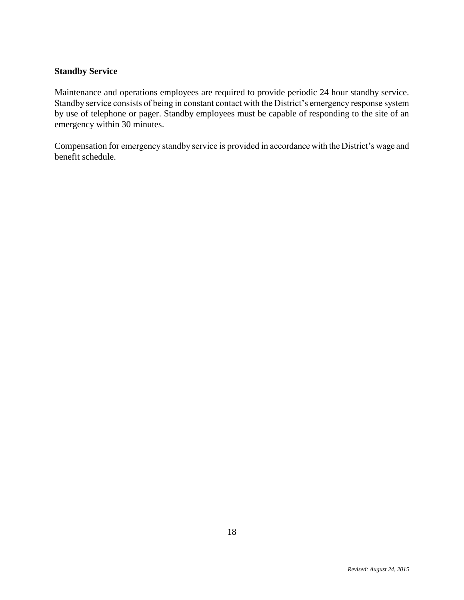#### **Standby Service**

Maintenance and operations employees are required to provide periodic 24 hour standby service. Standby service consists of being in constant contact with the District's emergency response system by use of telephone or pager. Standby employees must be capable of responding to the site of an emergency within 30 minutes.

Compensation for emergency standby service is provided in accordance with the District's wage and benefit schedule.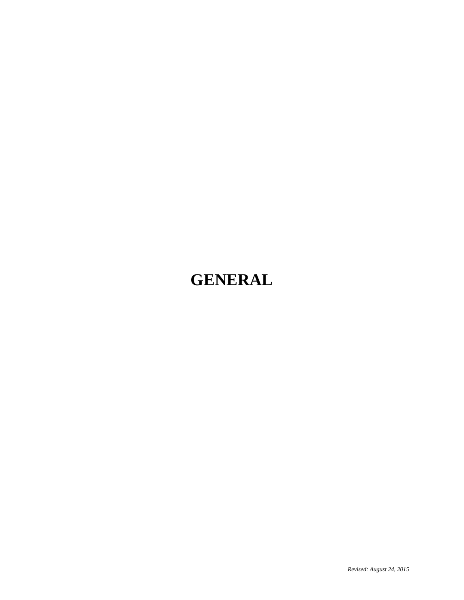### **GENERAL**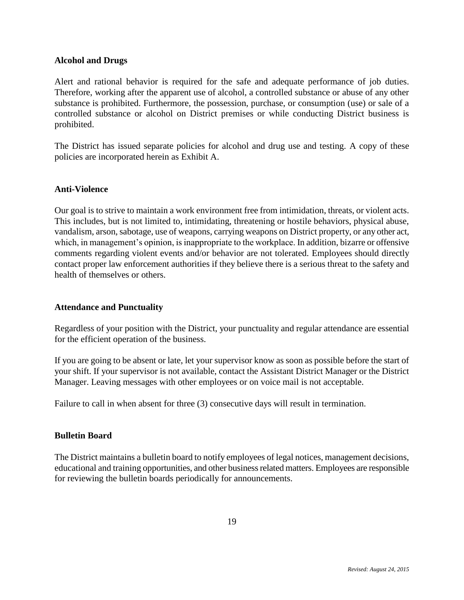#### **Alcohol and Drugs**

Alert and rational behavior is required for the safe and adequate performance of job duties. Therefore, working after the apparent use of alcohol, a controlled substance or abuse of any other substance is prohibited. Furthermore, the possession, purchase, or consumption (use) or sale of a controlled substance or alcohol on District premises or while conducting District business is prohibited.

The District has issued separate policies for alcohol and drug use and testing. A copy of these policies are incorporated herein as Exhibit A.

#### **Anti-Violence**

Our goal is to strive to maintain a work environment free from intimidation, threats, or violent acts. This includes, but is not limited to, intimidating, threatening or hostile behaviors, physical abuse, vandalism, arson, sabotage, use of weapons, carrying weapons on District property, or any other act, which, in management's opinion, is inappropriate to the workplace. In addition, bizarre or offensive comments regarding violent events and/or behavior are not tolerated. Employees should directly contact proper law enforcement authorities if they believe there is a serious threat to the safety and health of themselves or others.

#### **Attendance and Punctuality**

Regardless of your position with the District, your punctuality and regular attendance are essential for the efficient operation of the business.

If you are going to be absent or late, let your supervisor know as soon as possible before the start of your shift. If your supervisor is not available, contact the Assistant District Manager or the District Manager. Leaving messages with other employees or on voice mail is not acceptable.

Failure to call in when absent for three (3) consecutive days will result in termination.

#### **Bulletin Board**

The District maintains a bulletin board to notify employees of legal notices, management decisions, educational and training opportunities, and other business related matters. Employees are responsible for reviewing the bulletin boards periodically for announcements.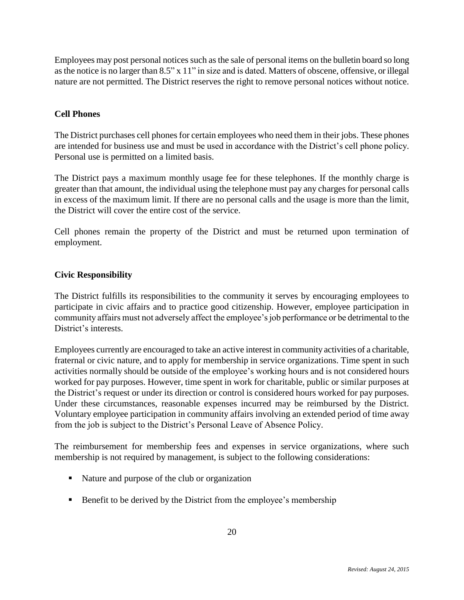Employees may post personal notices such as the sale of personal items on the bulletin board so long as the notice is no larger than 8.5" x 11" in size and is dated. Matters of obscene, offensive, or illegal nature are not permitted. The District reserves the right to remove personal notices without notice.

#### **Cell Phones**

The District purchases cell phones for certain employees who need them in their jobs. These phones are intended for business use and must be used in accordance with the District's cell phone policy. Personal use is permitted on a limited basis.

The District pays a maximum monthly usage fee for these telephones. If the monthly charge is greater than that amount, the individual using the telephone must pay any charges for personal calls in excess of the maximum limit. If there are no personal calls and the usage is more than the limit, the District will cover the entire cost of the service.

Cell phones remain the property of the District and must be returned upon termination of employment.

#### **Civic Responsibility**

The District fulfills its responsibilities to the community it serves by encouraging employees to participate in civic affairs and to practice good citizenship. However, employee participation in community affairs must not adversely affect the employee's job performance or be detrimental to the District's interests.

Employees currently are encouraged to take an active interest in community activities of a charitable, fraternal or civic nature, and to apply for membership in service organizations. Time spent in such activities normally should be outside of the employee's working hours and is not considered hours worked for pay purposes. However, time spent in work for charitable, public or similar purposes at the District's request or under its direction or control is considered hours worked for pay purposes. Under these circumstances, reasonable expenses incurred may be reimbursed by the District. Voluntary employee participation in community affairs involving an extended period of time away from the job is subject to the District's Personal Leave of Absence Policy.

The reimbursement for membership fees and expenses in service organizations, where such membership is not required by management, is subject to the following considerations:

- Nature and purpose of the club or organization
- Benefit to be derived by the District from the employee's membership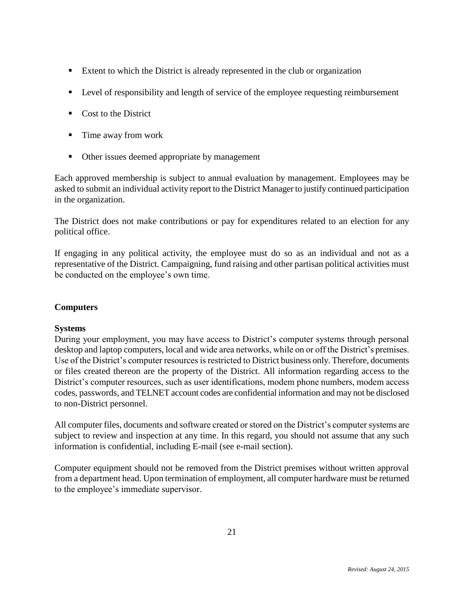- **Extent to which the District is already represented in the club or organization**
- **Level of responsibility and length of service of the employee requesting reimbursement**
- Cost to the District
- Time away from work
- Other issues deemed appropriate by management

Each approved membership is subject to annual evaluation by management. Employees may be asked to submit an individual activity report to the District Manager to justify continued participation in the organization.

The District does not make contributions or pay for expenditures related to an election for any political office.

If engaging in any political activity, the employee must do so as an individual and not as a representative of the District. Campaigning, fund raising and other partisan political activities must be conducted on the employee's own time.

#### **Computers**

#### **Systems**

During your employment, you may have access to District's computer systems through personal desktop and laptop computers, local and wide area networks, while on or off the District's premises. Use of the District's computer resources is restricted to District business only. Therefore, documents or files created thereon are the property of the District. All information regarding access to the District's computer resources, such as user identifications, modem phone numbers, modem access codes, passwords, and TELNET account codes are confidential information and may not be disclosed to non-District personnel.

All computer files, documents and software created or stored on the District's computer systems are subject to review and inspection at any time. In this regard, you should not assume that any such information is confidential, including E-mail (see e-mail section).

Computer equipment should not be removed from the District premises without written approval from a department head. Upon termination of employment, all computer hardware must be returned to the employee's immediate supervisor.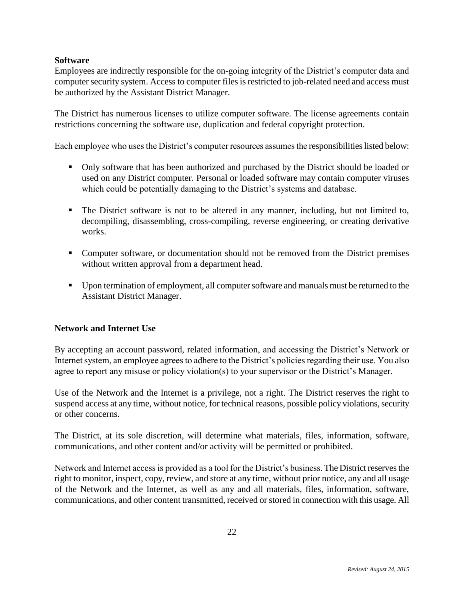#### **Software**

Employees are indirectly responsible for the on-going integrity of the District's computer data and computer security system. Access to computer files is restricted to job-related need and access must be authorized by the Assistant District Manager.

The District has numerous licenses to utilize computer software. The license agreements contain restrictions concerning the software use, duplication and federal copyright protection.

Each employee who uses the District's computer resources assumes the responsibilities listed below:

- Only software that has been authorized and purchased by the District should be loaded or used on any District computer. Personal or loaded software may contain computer viruses which could be potentially damaging to the District's systems and database.
- The District software is not to be altered in any manner, including, but not limited to, decompiling, disassembling, cross-compiling, reverse engineering, or creating derivative works.
- Computer software, or documentation should not be removed from the District premises without written approval from a department head.
- Upon termination of employment, all computer software and manuals must be returned to the Assistant District Manager.

#### **Network and Internet Use**

By accepting an account password, related information, and accessing the District's Network or Internet system, an employee agrees to adhere to the District's policies regarding their use. You also agree to report any misuse or policy violation(s) to your supervisor or the District's Manager.

Use of the Network and the Internet is a privilege, not a right. The District reserves the right to suspend access at any time, without notice, for technical reasons, possible policy violations, security or other concerns.

The District, at its sole discretion, will determine what materials, files, information, software, communications, and other content and/or activity will be permitted or prohibited.

Network and Internet access is provided as a tool for the District's business. The District reserves the right to monitor, inspect, copy, review, and store at any time, without prior notice, any and all usage of the Network and the Internet, as well as any and all materials, files, information, software, communications, and other content transmitted, received or stored in connection with this usage. All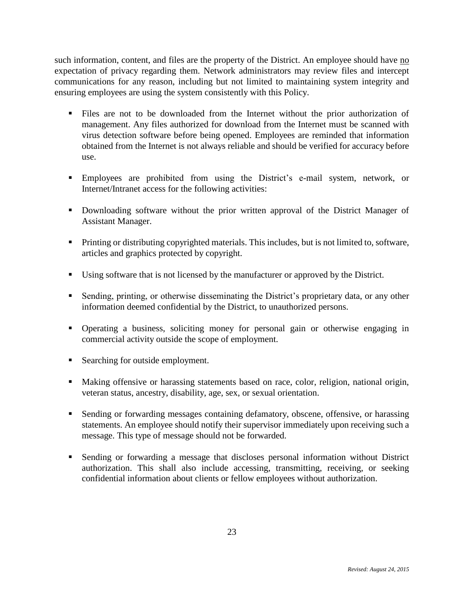such information, content, and files are the property of the District. An employee should have no expectation of privacy regarding them. Network administrators may review files and intercept communications for any reason, including but not limited to maintaining system integrity and ensuring employees are using the system consistently with this Policy.

- Files are not to be downloaded from the Internet without the prior authorization of management. Any files authorized for download from the Internet must be scanned with virus detection software before being opened. Employees are reminded that information obtained from the Internet is not always reliable and should be verified for accuracy before use.
- Employees are prohibited from using the District's e-mail system, network, or Internet/Intranet access for the following activities:
- Downloading software without the prior written approval of the District Manager of Assistant Manager.
- **Printing or distributing copyrighted materials. This includes, but is not limited to, software,** articles and graphics protected by copyright.
- Using software that is not licensed by the manufacturer or approved by the District.
- Sending, printing, or otherwise disseminating the District's proprietary data, or any other information deemed confidential by the District, to unauthorized persons.
- Operating a business, soliciting money for personal gain or otherwise engaging in commercial activity outside the scope of employment.
- Searching for outside employment.
- Making offensive or harassing statements based on race, color, religion, national origin, veteran status, ancestry, disability, age, sex, or sexual orientation.
- Sending or forwarding messages containing defamatory, obscene, offensive, or harassing statements. An employee should notify their supervisor immediately upon receiving such a message. This type of message should not be forwarded.
- Sending or forwarding a message that discloses personal information without District authorization. This shall also include accessing, transmitting, receiving, or seeking confidential information about clients or fellow employees without authorization.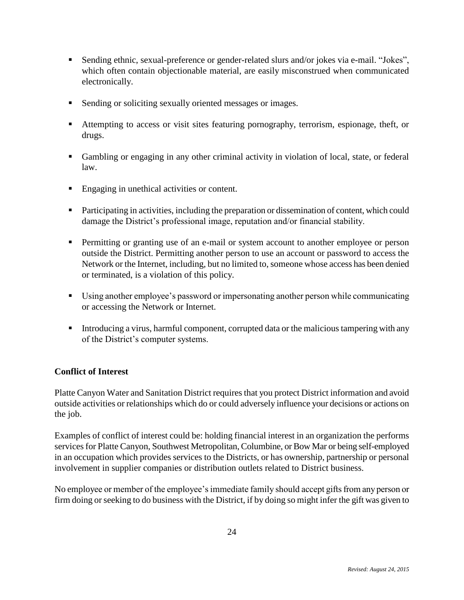- Sending ethnic, sexual-preference or gender-related slurs and/or jokes via e-mail. "Jokes", which often contain objectionable material, are easily misconstrued when communicated electronically.
- **Sending or soliciting sexually oriented messages or images.**
- Attempting to access or visit sites featuring pornography, terrorism, espionage, theft, or drugs.
- Gambling or engaging in any other criminal activity in violation of local, state, or federal law.
- **Engaging in unethical activities or content.**
- Participating in activities, including the preparation or dissemination of content, which could damage the District's professional image, reputation and/or financial stability.
- Permitting or granting use of an e-mail or system account to another employee or person outside the District. Permitting another person to use an account or password to access the Network or the Internet, including, but no limited to, someone whose access has been denied or terminated, is a violation of this policy.
- Using another employee's password or impersonating another person while communicating or accessing the Network or Internet.
- Introducing a virus, harmful component, corrupted data or the malicious tampering with any of the District's computer systems.

#### **Conflict of Interest**

Platte Canyon Water and Sanitation District requires that you protect District information and avoid outside activities or relationships which do or could adversely influence your decisions or actions on the job.

Examples of conflict of interest could be: holding financial interest in an organization the performs services for Platte Canyon, Southwest Metropolitan, Columbine, or Bow Mar or being self-employed in an occupation which provides services to the Districts, or has ownership, partnership or personal involvement in supplier companies or distribution outlets related to District business.

No employee or member of the employee's immediate family should accept gifts from any person or firm doing or seeking to do business with the District, if by doing so might infer the gift was given to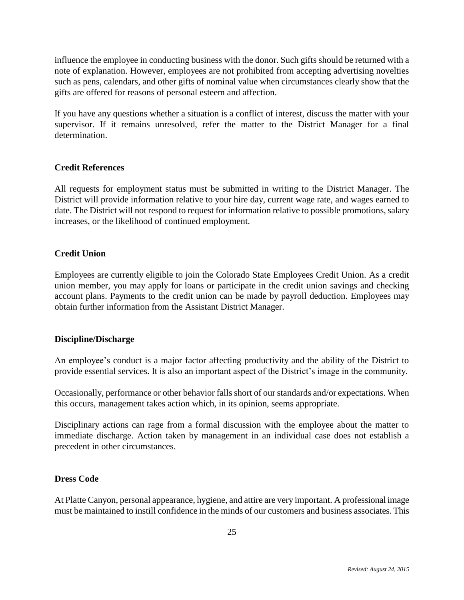influence the employee in conducting business with the donor. Such gifts should be returned with a note of explanation. However, employees are not prohibited from accepting advertising novelties such as pens, calendars, and other gifts of nominal value when circumstances clearly show that the gifts are offered for reasons of personal esteem and affection.

If you have any questions whether a situation is a conflict of interest, discuss the matter with your supervisor. If it remains unresolved, refer the matter to the District Manager for a final determination.

#### **Credit References**

All requests for employment status must be submitted in writing to the District Manager. The District will provide information relative to your hire day, current wage rate, and wages earned to date. The District will not respond to request for information relative to possible promotions, salary increases, or the likelihood of continued employment.

#### **Credit Union**

Employees are currently eligible to join the Colorado State Employees Credit Union. As a credit union member, you may apply for loans or participate in the credit union savings and checking account plans. Payments to the credit union can be made by payroll deduction. Employees may obtain further information from the Assistant District Manager.

#### **Discipline/Discharge**

An employee's conduct is a major factor affecting productivity and the ability of the District to provide essential services. It is also an important aspect of the District's image in the community.

Occasionally, performance or other behavior falls short of our standards and/or expectations. When this occurs, management takes action which, in its opinion, seems appropriate.

Disciplinary actions can rage from a formal discussion with the employee about the matter to immediate discharge. Action taken by management in an individual case does not establish a precedent in other circumstances.

#### **Dress Code**

At Platte Canyon, personal appearance, hygiene, and attire are very important. A professional image must be maintained to instill confidence in the minds of our customers and business associates. This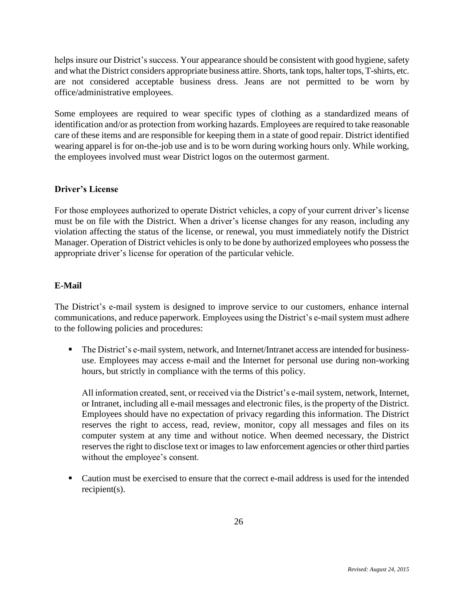helps insure our District's success. Your appearance should be consistent with good hygiene, safety and what the District considers appropriate business attire. Shorts, tank tops, halter tops, T-shirts, etc. are not considered acceptable business dress. Jeans are not permitted to be worn by office/administrative employees.

Some employees are required to wear specific types of clothing as a standardized means of identification and/or as protection from working hazards. Employees are required to take reasonable care of these items and are responsible for keeping them in a state of good repair. District identified wearing apparel is for on-the-job use and is to be worn during working hours only. While working, the employees involved must wear District logos on the outermost garment.

#### **Driver's License**

For those employees authorized to operate District vehicles, a copy of your current driver's license must be on file with the District. When a driver's license changes for any reason, including any violation affecting the status of the license, or renewal, you must immediately notify the District Manager. Operation of District vehicles is only to be done by authorized employees who possess the appropriate driver's license for operation of the particular vehicle.

#### **E-Mail**

The District's e-mail system is designed to improve service to our customers, enhance internal communications, and reduce paperwork. Employees using the District's e-mail system must adhere to the following policies and procedures:

 The District's e-mail system, network, and Internet/Intranet access are intended for businessuse. Employees may access e-mail and the Internet for personal use during non-working hours, but strictly in compliance with the terms of this policy.

All information created, sent, or received via the District's e-mail system, network, Internet, or Intranet, including all e-mail messages and electronic files, is the property of the District. Employees should have no expectation of privacy regarding this information. The District reserves the right to access, read, review, monitor, copy all messages and files on its computer system at any time and without notice. When deemed necessary, the District reserves the right to disclose text or images to law enforcement agencies or other third parties without the employee's consent.

• Caution must be exercised to ensure that the correct e-mail address is used for the intended recipient(s).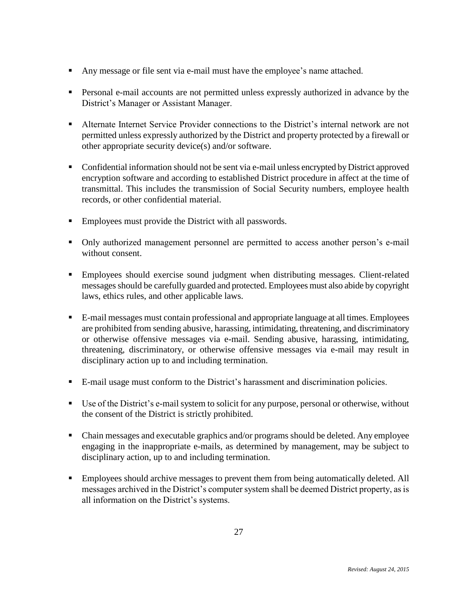- Any message or file sent via e-mail must have the employee's name attached.
- Personal e-mail accounts are not permitted unless expressly authorized in advance by the District's Manager or Assistant Manager.
- Alternate Internet Service Provider connections to the District's internal network are not permitted unless expressly authorized by the District and property protected by a firewall or other appropriate security device(s) and/or software.
- Confidential information should not be sent via e-mail unless encrypted by District approved encryption software and according to established District procedure in affect at the time of transmittal. This includes the transmission of Social Security numbers, employee health records, or other confidential material.
- **Employees must provide the District with all passwords.**
- Only authorized management personnel are permitted to access another person's e-mail without consent.
- Employees should exercise sound judgment when distributing messages. Client-related messages should be carefully guarded and protected. Employees must also abide by copyright laws, ethics rules, and other applicable laws.
- E-mail messages must contain professional and appropriate language at all times. Employees are prohibited from sending abusive, harassing, intimidating, threatening, and discriminatory or otherwise offensive messages via e-mail. Sending abusive, harassing, intimidating, threatening, discriminatory, or otherwise offensive messages via e-mail may result in disciplinary action up to and including termination.
- E-mail usage must conform to the District's harassment and discrimination policies.
- Use of the District's e-mail system to solicit for any purpose, personal or otherwise, without the consent of the District is strictly prohibited.
- Chain messages and executable graphics and/or programs should be deleted. Any employee engaging in the inappropriate e-mails, as determined by management, may be subject to disciplinary action, up to and including termination.
- **Employees should archive messages to prevent them from being automatically deleted. All** messages archived in the District's computer system shall be deemed District property, as is all information on the District's systems.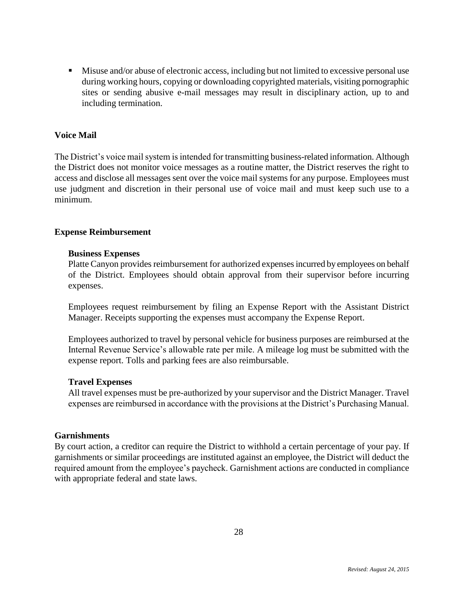Misuse and/or abuse of electronic access, including but not limited to excessive personal use during working hours, copying or downloading copyrighted materials, visiting pornographic sites or sending abusive e-mail messages may result in disciplinary action, up to and including termination.

#### **Voice Mail**

The District's voice mail system is intended for transmitting business-related information. Although the District does not monitor voice messages as a routine matter, the District reserves the right to access and disclose all messages sent over the voice mail systems for any purpose. Employees must use judgment and discretion in their personal use of voice mail and must keep such use to a minimum.

#### **Expense Reimbursement**

#### **Business Expenses**

Platte Canyon provides reimbursement for authorized expenses incurred by employees on behalf of the District. Employees should obtain approval from their supervisor before incurring expenses.

Employees request reimbursement by filing an Expense Report with the Assistant District Manager. Receipts supporting the expenses must accompany the Expense Report.

Employees authorized to travel by personal vehicle for business purposes are reimbursed at the Internal Revenue Service's allowable rate per mile. A mileage log must be submitted with the expense report. Tolls and parking fees are also reimbursable.

#### **Travel Expenses**

All travel expenses must be pre-authorized by your supervisor and the District Manager. Travel expenses are reimbursed in accordance with the provisions at the District's Purchasing Manual.

#### **Garnishments**

By court action, a creditor can require the District to withhold a certain percentage of your pay. If garnishments or similar proceedings are instituted against an employee, the District will deduct the required amount from the employee's paycheck. Garnishment actions are conducted in compliance with appropriate federal and state laws.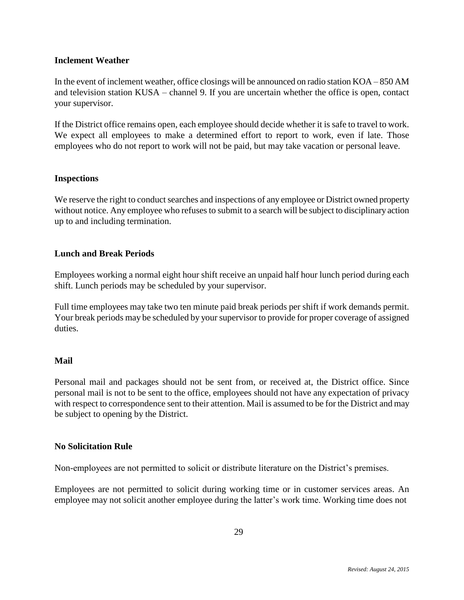#### **Inclement Weather**

In the event of inclement weather, office closings will be announced on radio station KOA – 850 AM and television station KUSA – channel 9. If you are uncertain whether the office is open, contact your supervisor.

If the District office remains open, each employee should decide whether it is safe to travel to work. We expect all employees to make a determined effort to report to work, even if late. Those employees who do not report to work will not be paid, but may take vacation or personal leave.

#### **Inspections**

We reserve the right to conduct searches and inspections of any employee or District owned property without notice. Any employee who refuses to submit to a search will be subject to disciplinary action up to and including termination.

#### **Lunch and Break Periods**

Employees working a normal eight hour shift receive an unpaid half hour lunch period during each shift. Lunch periods may be scheduled by your supervisor.

Full time employees may take two ten minute paid break periods per shift if work demands permit. Your break periods may be scheduled by your supervisor to provide for proper coverage of assigned duties.

#### **Mail**

Personal mail and packages should not be sent from, or received at, the District office. Since personal mail is not to be sent to the office, employees should not have any expectation of privacy with respect to correspondence sent to their attention. Mail is assumed to be for the District and may be subject to opening by the District.

#### **No Solicitation Rule**

Non-employees are not permitted to solicit or distribute literature on the District's premises.

Employees are not permitted to solicit during working time or in customer services areas. An employee may not solicit another employee during the latter's work time. Working time does not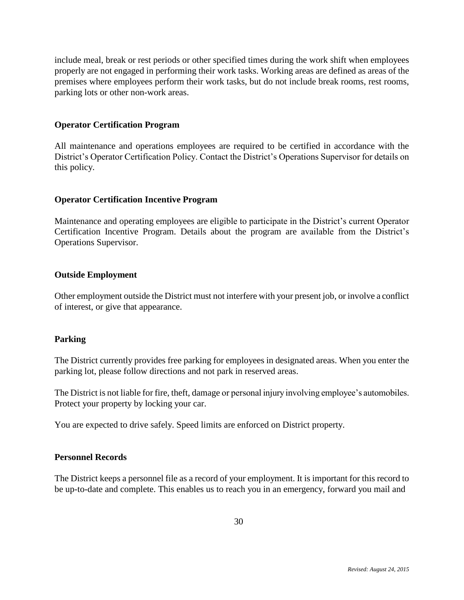include meal, break or rest periods or other specified times during the work shift when employees properly are not engaged in performing their work tasks. Working areas are defined as areas of the premises where employees perform their work tasks, but do not include break rooms, rest rooms, parking lots or other non-work areas.

#### **Operator Certification Program**

All maintenance and operations employees are required to be certified in accordance with the District's Operator Certification Policy. Contact the District's Operations Supervisor for details on this policy.

#### **Operator Certification Incentive Program**

Maintenance and operating employees are eligible to participate in the District's current Operator Certification Incentive Program. Details about the program are available from the District's Operations Supervisor.

#### **Outside Employment**

Other employment outside the District must not interfere with your present job, or involve a conflict of interest, or give that appearance.

#### **Parking**

The District currently provides free parking for employees in designated areas. When you enter the parking lot, please follow directions and not park in reserved areas.

The District is not liable for fire, theft, damage or personal injury involving employee's automobiles. Protect your property by locking your car.

You are expected to drive safely. Speed limits are enforced on District property.

#### **Personnel Records**

The District keeps a personnel file as a record of your employment. It is important for this record to be up-to-date and complete. This enables us to reach you in an emergency, forward you mail and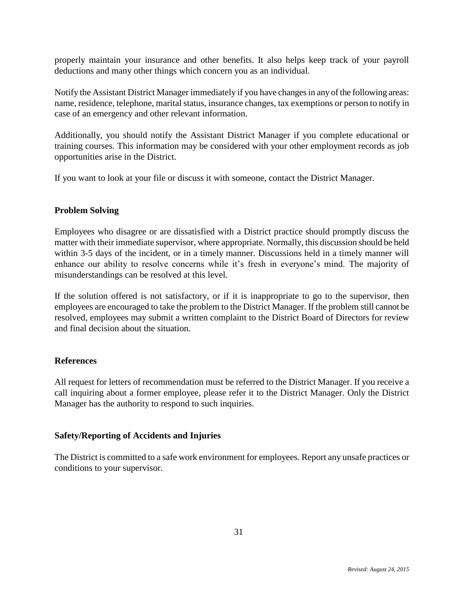properly maintain your insurance and other benefits. It also helps keep track of your payroll deductions and many other things which concern you as an individual.

Notify the Assistant District Manager immediately if you have changes in any of the following areas: name, residence, telephone, marital status, insurance changes, tax exemptions or person to notify in case of an emergency and other relevant information.

Additionally, you should notify the Assistant District Manager if you complete educational or training courses. This information may be considered with your other employment records as job opportunities arise in the District.

If you want to look at your file or discuss it with someone, contact the District Manager.

#### **Problem Solving**

Employees who disagree or are dissatisfied with a District practice should promptly discuss the matter with their immediate supervisor, where appropriate. Normally, this discussion should be held within 3-5 days of the incident, or in a timely manner. Discussions held in a timely manner will enhance our ability to resolve concerns while it's fresh in everyone's mind. The majority of misunderstandings can be resolved at this level.

If the solution offered is not satisfactory, or if it is inappropriate to go to the supervisor, then employees are encouraged to take the problem to the District Manager. If the problem still cannot be resolved, employees may submit a written complaint to the District Board of Directors for review and final decision about the situation.

#### **References**

All request for letters of recommendation must be referred to the District Manager. If you receive a call inquiring about a former employee, please refer it to the District Manager. Only the District Manager has the authority to respond to such inquiries.

#### **Safety/Reporting of Accidents and Injuries**

The District is committed to a safe work environment for employees. Report any unsafe practices or conditions to your supervisor.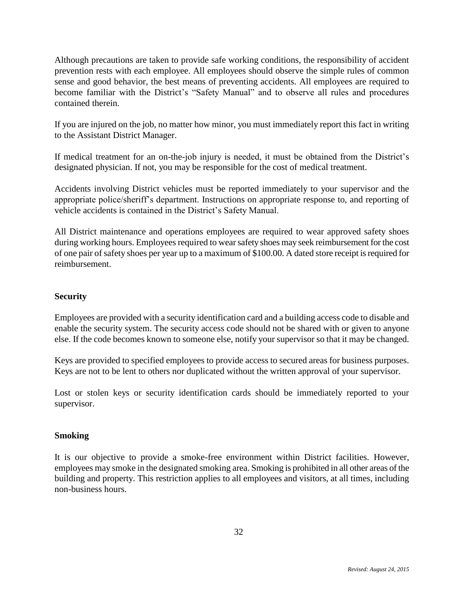Although precautions are taken to provide safe working conditions, the responsibility of accident prevention rests with each employee. All employees should observe the simple rules of common sense and good behavior, the best means of preventing accidents. All employees are required to become familiar with the District's "Safety Manual" and to observe all rules and procedures contained therein.

If you are injured on the job, no matter how minor, you must immediately report this fact in writing to the Assistant District Manager.

If medical treatment for an on-the-job injury is needed, it must be obtained from the District's designated physician. If not, you may be responsible for the cost of medical treatment.

Accidents involving District vehicles must be reported immediately to your supervisor and the appropriate police/sheriff's department. Instructions on appropriate response to, and reporting of vehicle accidents is contained in the District's Safety Manual.

All District maintenance and operations employees are required to wear approved safety shoes during working hours. Employees required to wear safety shoes may seek reimbursement for the cost of one pair of safety shoes per year up to a maximum of \$100.00. A dated store receipt is required for reimbursement.

#### **Security**

Employees are provided with a security identification card and a building access code to disable and enable the security system. The security access code should not be shared with or given to anyone else. If the code becomes known to someone else, notify your supervisor so that it may be changed.

Keys are provided to specified employees to provide access to secured areas for business purposes. Keys are not to be lent to others nor duplicated without the written approval of your supervisor.

Lost or stolen keys or security identification cards should be immediately reported to your supervisor.

#### **Smoking**

It is our objective to provide a smoke-free environment within District facilities. However, employees may smoke in the designated smoking area. Smoking is prohibited in all other areas of the building and property. This restriction applies to all employees and visitors, at all times, including non-business hours.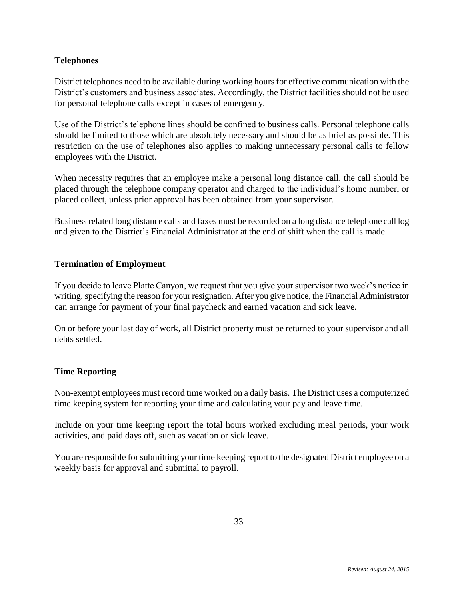#### **Telephones**

District telephones need to be available during working hours for effective communication with the District's customers and business associates. Accordingly, the District facilities should not be used for personal telephone calls except in cases of emergency.

Use of the District's telephone lines should be confined to business calls. Personal telephone calls should be limited to those which are absolutely necessary and should be as brief as possible. This restriction on the use of telephones also applies to making unnecessary personal calls to fellow employees with the District.

When necessity requires that an employee make a personal long distance call, the call should be placed through the telephone company operator and charged to the individual's home number, or placed collect, unless prior approval has been obtained from your supervisor.

Business related long distance calls and faxes must be recorded on a long distance telephone call log and given to the District's Financial Administrator at the end of shift when the call is made.

#### **Termination of Employment**

If you decide to leave Platte Canyon, we request that you give your supervisor two week's notice in writing, specifying the reason for your resignation. After you give notice, the Financial Administrator can arrange for payment of your final paycheck and earned vacation and sick leave.

On or before your last day of work, all District property must be returned to your supervisor and all debts settled.

#### **Time Reporting**

Non-exempt employees must record time worked on a daily basis. The District uses a computerized time keeping system for reporting your time and calculating your pay and leave time.

Include on your time keeping report the total hours worked excluding meal periods, your work activities, and paid days off, such as vacation or sick leave.

You are responsible for submitting your time keeping report to the designated District employee on a weekly basis for approval and submittal to payroll.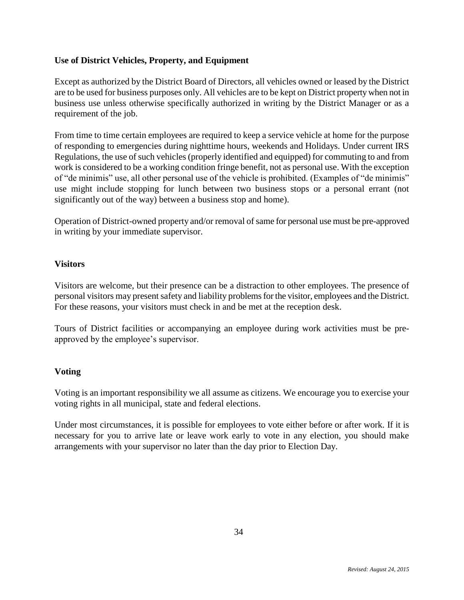#### **Use of District Vehicles, Property, and Equipment**

Except as authorized by the District Board of Directors, all vehicles owned or leased by the District are to be used for business purposes only. All vehicles are to be kept on District property when not in business use unless otherwise specifically authorized in writing by the District Manager or as a requirement of the job.

From time to time certain employees are required to keep a service vehicle at home for the purpose of responding to emergencies during nighttime hours, weekends and Holidays. Under current IRS Regulations, the use of such vehicles (properly identified and equipped) for commuting to and from work is considered to be a working condition fringe benefit, not as personal use. With the exception of "de minimis" use, all other personal use of the vehicle is prohibited. (Examples of "de minimis" use might include stopping for lunch between two business stops or a personal errant (not significantly out of the way) between a business stop and home).

Operation of District-owned property and/or removal of same for personal use must be pre-approved in writing by your immediate supervisor.

#### **Visitors**

Visitors are welcome, but their presence can be a distraction to other employees. The presence of personal visitors may present safety and liability problems for the visitor, employees and the District. For these reasons, your visitors must check in and be met at the reception desk.

Tours of District facilities or accompanying an employee during work activities must be preapproved by the employee's supervisor.

#### **Voting**

Voting is an important responsibility we all assume as citizens. We encourage you to exercise your voting rights in all municipal, state and federal elections.

Under most circumstances, it is possible for employees to vote either before or after work. If it is necessary for you to arrive late or leave work early to vote in any election, you should make arrangements with your supervisor no later than the day prior to Election Day.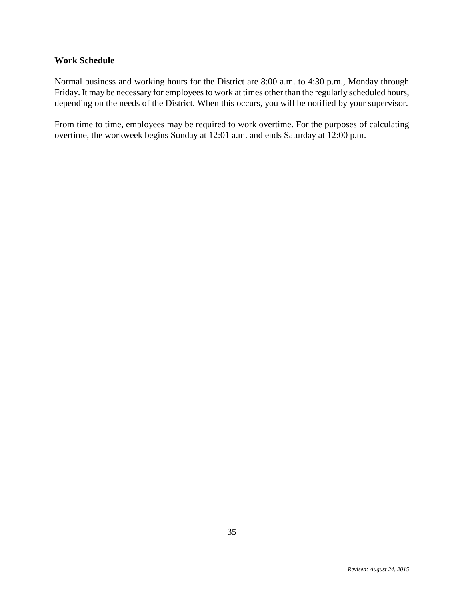#### **Work Schedule**

Normal business and working hours for the District are 8:00 a.m. to 4:30 p.m., Monday through Friday. It may be necessary for employees to work at times other than the regularly scheduled hours, depending on the needs of the District. When this occurs, you will be notified by your supervisor.

From time to time, employees may be required to work overtime. For the purposes of calculating overtime, the workweek begins Sunday at 12:01 a.m. and ends Saturday at 12:00 p.m.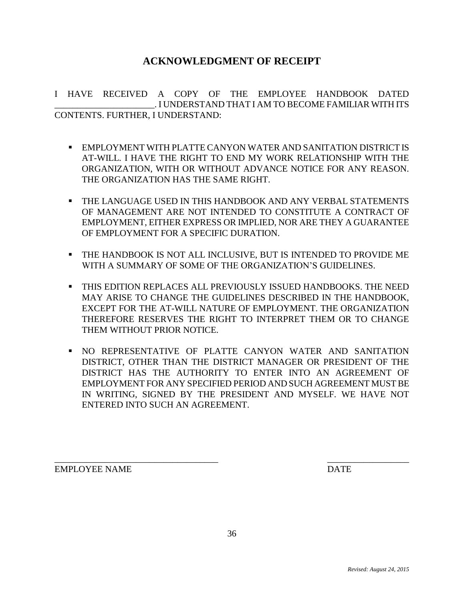#### **ACKNOWLEDGMENT OF RECEIPT**

I HAVE RECEIVED A COPY OF THE EMPLOYEE HANDBOOK DATED \_\_\_\_\_\_\_\_\_\_\_\_\_\_\_\_\_\_\_\_\_\_. I UNDERSTAND THAT I AM TO BECOME FAMILIAR WITH ITS CONTENTS. FURTHER, I UNDERSTAND:

- EMPLOYMENT WITH PLATTE CANYON WATER AND SANITATION DISTRICT IS AT-WILL. I HAVE THE RIGHT TO END MY WORK RELATIONSHIP WITH THE ORGANIZATION, WITH OR WITHOUT ADVANCE NOTICE FOR ANY REASON. THE ORGANIZATION HAS THE SAME RIGHT.
- THE LANGUAGE USED IN THIS HANDBOOK AND ANY VERBAL STATEMENTS OF MANAGEMENT ARE NOT INTENDED TO CONSTITUTE A CONTRACT OF EMPLOYMENT, EITHER EXPRESS OR IMPLIED, NOR ARE THEY A GUARANTEE OF EMPLOYMENT FOR A SPECIFIC DURATION.
- THE HANDBOOK IS NOT ALL INCLUSIVE, BUT IS INTENDED TO PROVIDE ME WITH A SUMMARY OF SOME OF THE ORGANIZATION'S GUIDELINES.
- THIS EDITION REPLACES ALL PREVIOUSLY ISSUED HANDBOOKS. THE NEED MAY ARISE TO CHANGE THE GUIDELINES DESCRIBED IN THE HANDBOOK, EXCEPT FOR THE AT-WILL NATURE OF EMPLOYMENT. THE ORGANIZATION THEREFORE RESERVES THE RIGHT TO INTERPRET THEM OR TO CHANGE THEM WITHOUT PRIOR NOTICE.
- NO REPRESENTATIVE OF PLATTE CANYON WATER AND SANITATION DISTRICT, OTHER THAN THE DISTRICT MANAGER OR PRESIDENT OF THE DISTRICT HAS THE AUTHORITY TO ENTER INTO AN AGREEMENT OF EMPLOYMENT FOR ANY SPECIFIED PERIOD AND SUCH AGREEMENT MUST BE IN WRITING, SIGNED BY THE PRESIDENT AND MYSELF. WE HAVE NOT ENTERED INTO SUCH AN AGREEMENT.

EMPLOYEE NAME DATE

 $\overline{\phantom{a}}$  , and the contract of the contract of the contract of the contract of the contract of the contract of the contract of the contract of the contract of the contract of the contract of the contract of the contrac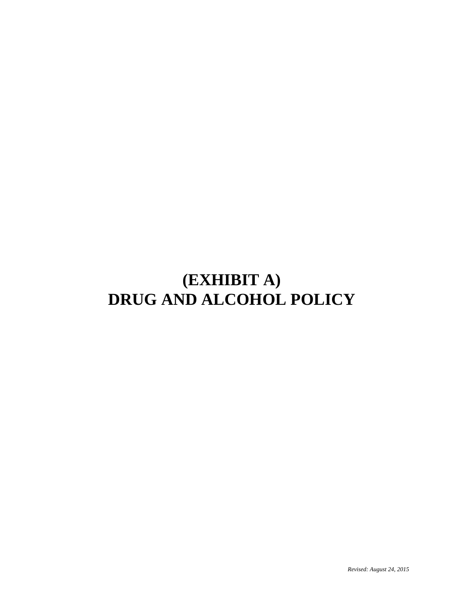## **(EXHIBIT A) DRUG AND ALCOHOL POLICY**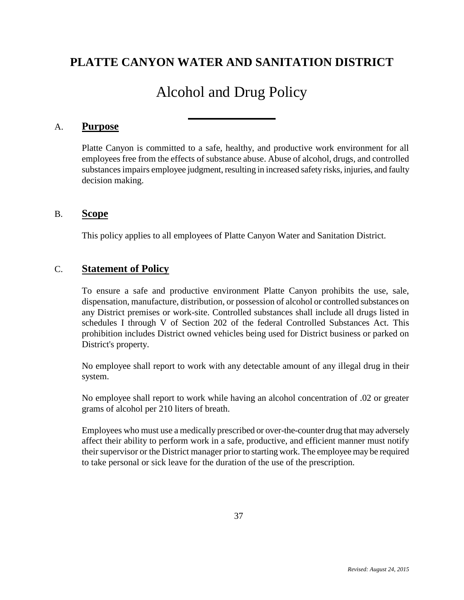### **PLATTE CANYON WATER AND SANITATION DISTRICT**

### Alcohol and Drug Policy

#### A. **Purpose**

Platte Canyon is committed to a safe, healthy, and productive work environment for all employees free from the effects of substance abuse. Abuse of alcohol, drugs, and controlled substances impairs employee judgment, resulting in increased safety risks, injuries, and faulty decision making.

#### B. **Scope**

This policy applies to all employees of Platte Canyon Water and Sanitation District.

#### C. **Statement of Policy**

To ensure a safe and productive environment Platte Canyon prohibits the use, sale, dispensation, manufacture, distribution, or possession of alcohol or controlled substances on any District premises or work-site. Controlled substances shall include all drugs listed in schedules I through V of Section 202 of the federal Controlled Substances Act. This prohibition includes District owned vehicles being used for District business or parked on District's property.

No employee shall report to work with any detectable amount of any illegal drug in their system.

No employee shall report to work while having an alcohol concentration of .02 or greater grams of alcohol per 210 liters of breath.

Employees who must use a medically prescribed or over-the-counter drug that may adversely affect their ability to perform work in a safe, productive, and efficient manner must notify their supervisor or the District manager prior to starting work. The employee may be required to take personal or sick leave for the duration of the use of the prescription.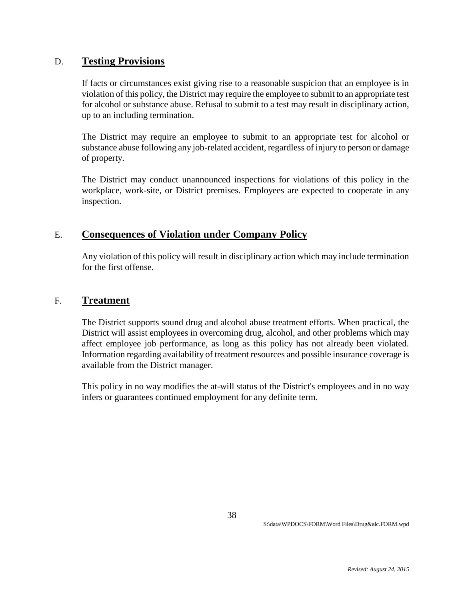#### D. **Testing Provisions**

If facts or circumstances exist giving rise to a reasonable suspicion that an employee is in violation of this policy, the District may require the employee to submit to an appropriate test for alcohol or substance abuse. Refusal to submit to a test may result in disciplinary action, up to an including termination.

The District may require an employee to submit to an appropriate test for alcohol or substance abuse following any job-related accident, regardless of injury to person or damage of property.

The District may conduct unannounced inspections for violations of this policy in the workplace, work-site, or District premises. Employees are expected to cooperate in any inspection.

#### E. **Consequences of Violation under Company Policy**

Any violation of this policy will result in disciplinary action which may include termination for the first offense.

#### F. **Treatment**

The District supports sound drug and alcohol abuse treatment efforts. When practical, the District will assist employees in overcoming drug, alcohol, and other problems which may affect employee job performance, as long as this policy has not already been violated. Information regarding availability of treatment resources and possible insurance coverage is available from the District manager.

This policy in no way modifies the at-will status of the District's employees and in no way infers or guarantees continued employment for any definite term.

38

S:\data\WPDOCS\FORM\Word Files\Drug&alc.FORM.wpd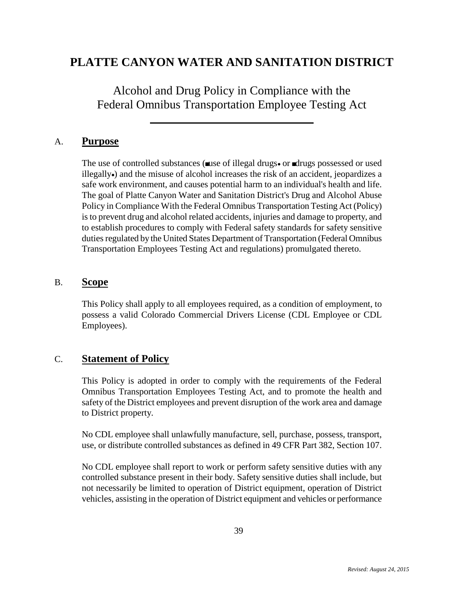### **PLATTE CANYON WATER AND SANITATION DISTRICT**

Alcohol and Drug Policy in Compliance with the Federal Omnibus Transportation Employee Testing Act

#### A. **Purpose**

The use of controlled substances ( $\Box$ use of illegal drugs $\bullet$  or  $\Box$ drugs possessed or used illegallyo and the misuse of alcohol increases the risk of an accident, jeopardizes a safe work environment, and causes potential harm to an individual's health and life. The goal of Platte Canyon Water and Sanitation District's Drug and Alcohol Abuse Policy in Compliance With the Federal Omnibus Transportation Testing Act (Policy) is to prevent drug and alcohol related accidents, injuries and damage to property, and to establish procedures to comply with Federal safety standards for safety sensitive duties regulated by the United States Department of Transportation (Federal Omnibus Transportation Employees Testing Act and regulations) promulgated thereto.

#### B. **Scope**

This Policy shall apply to all employees required, as a condition of employment, to possess a valid Colorado Commercial Drivers License (CDL Employee or CDL Employees).

#### C. **Statement of Policy**

This Policy is adopted in order to comply with the requirements of the Federal Omnibus Transportation Employees Testing Act, and to promote the health and safety of the District employees and prevent disruption of the work area and damage to District property.

No CDL employee shall unlawfully manufacture, sell, purchase, possess, transport, use, or distribute controlled substances as defined in 49 CFR Part 382, Section 107.

No CDL employee shall report to work or perform safety sensitive duties with any controlled substance present in their body. Safety sensitive duties shall include, but not necessarily be limited to operation of District equipment, operation of District vehicles, assisting in the operation of District equipment and vehicles or performance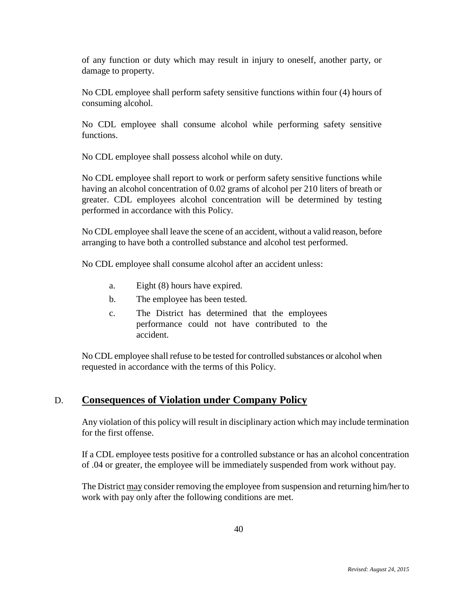of any function or duty which may result in injury to oneself, another party, or damage to property.

No CDL employee shall perform safety sensitive functions within four (4) hours of consuming alcohol.

No CDL employee shall consume alcohol while performing safety sensitive functions.

No CDL employee shall possess alcohol while on duty.

No CDL employee shall report to work or perform safety sensitive functions while having an alcohol concentration of 0.02 grams of alcohol per 210 liters of breath or greater. CDL employees alcohol concentration will be determined by testing performed in accordance with this Policy.

No CDL employee shall leave the scene of an accident, without a valid reason, before arranging to have both a controlled substance and alcohol test performed.

No CDL employee shall consume alcohol after an accident unless:

- a. Eight (8) hours have expired.
- b. The employee has been tested.
- c. The District has determined that the employees performance could not have contributed to the accident.

No CDL employee shall refuse to be tested for controlled substances or alcohol when requested in accordance with the terms of this Policy.

#### D. **Consequences of Violation under Company Policy**

Any violation of this policy will result in disciplinary action which may include termination for the first offense.

If a CDL employee tests positive for a controlled substance or has an alcohol concentration of .04 or greater, the employee will be immediately suspended from work without pay.

The District may consider removing the employee from suspension and returning him/her to work with pay only after the following conditions are met.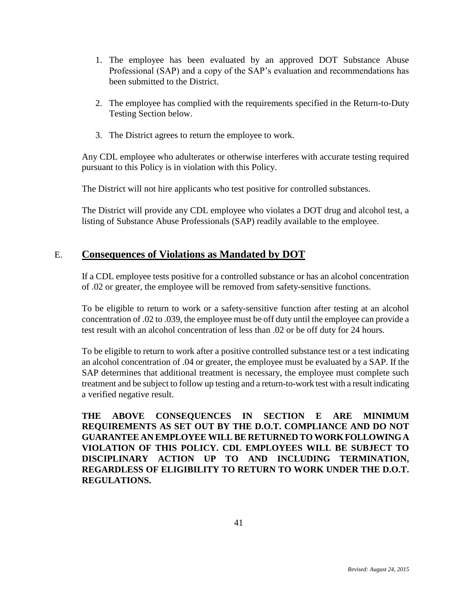- 1. The employee has been evaluated by an approved DOT Substance Abuse Professional (SAP) and a copy of the SAP's evaluation and recommendations has been submitted to the District.
- 2. The employee has complied with the requirements specified in the Return-to-Duty Testing Section below.
- 3. The District agrees to return the employee to work.

Any CDL employee who adulterates or otherwise interferes with accurate testing required pursuant to this Policy is in violation with this Policy.

The District will not hire applicants who test positive for controlled substances.

The District will provide any CDL employee who violates a DOT drug and alcohol test, a listing of Substance Abuse Professionals (SAP) readily available to the employee.

#### E. **Consequences of Violations as Mandated by DOT**

If a CDL employee tests positive for a controlled substance or has an alcohol concentration of .02 or greater, the employee will be removed from safety-sensitive functions.

To be eligible to return to work or a safety-sensitive function after testing at an alcohol concentration of .02 to .039, the employee must be off duty until the employee can provide a test result with an alcohol concentration of less than .02 or be off duty for 24 hours.

To be eligible to return to work after a positive controlled substance test or a test indicating an alcohol concentration of .04 or greater, the employee must be evaluated by a SAP. If the SAP determines that additional treatment is necessary, the employee must complete such treatment and be subject to follow up testing and a return-to-work test with a result indicating a verified negative result.

**THE ABOVE CONSEQUENCES IN SECTION E ARE MINIMUM REQUIREMENTS AS SET OUT BY THE D.O.T. COMPLIANCE AND DO NOT GUARANTEE AN EMPLOYEE WILL BE RETURNED TO WORK FOLLOWING A VIOLATION OF THIS POLICY. CDL EMPLOYEES WILL BE SUBJECT TO DISCIPLINARY ACTION UP TO AND INCLUDING TERMINATION, REGARDLESS OF ELIGIBILITY TO RETURN TO WORK UNDER THE D.O.T. REGULATIONS.**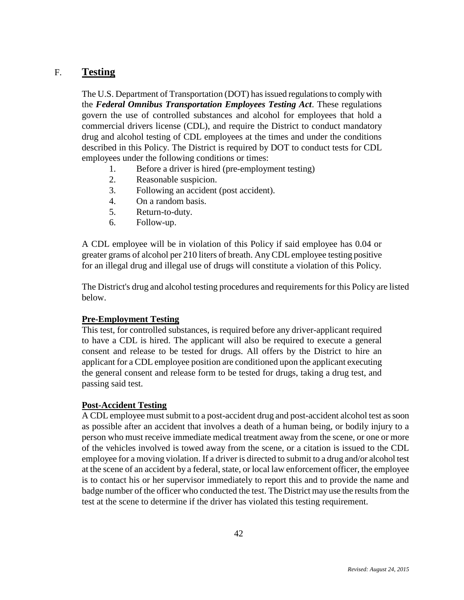#### F. **Testing**

The U.S. Department of Transportation (DOT) has issued regulations to comply with the *Federal Omnibus Transportation Employees Testing Act*. These regulations govern the use of controlled substances and alcohol for employees that hold a commercial drivers license (CDL), and require the District to conduct mandatory drug and alcohol testing of CDL employees at the times and under the conditions described in this Policy. The District is required by DOT to conduct tests for CDL employees under the following conditions or times:

- 1. Before a driver is hired (pre-employment testing)
- 2. Reasonable suspicion.
- 3. Following an accident (post accident).
- 4. On a random basis.
- 5. Return-to-duty.
- 6. Follow-up.

A CDL employee will be in violation of this Policy if said employee has 0.04 or greater grams of alcohol per 210 liters of breath. Any CDL employee testing positive for an illegal drug and illegal use of drugs will constitute a violation of this Policy.

The District's drug and alcohol testing procedures and requirements for this Policy are listed below.

#### **Pre-Employment Testing**

This test, for controlled substances, is required before any driver-applicant required to have a CDL is hired. The applicant will also be required to execute a general consent and release to be tested for drugs. All offers by the District to hire an applicant for a CDL employee position are conditioned upon the applicant executing the general consent and release form to be tested for drugs, taking a drug test, and passing said test.

#### **Post-Accident Testing**

A CDL employee must submit to a post-accident drug and post-accident alcohol test as soon as possible after an accident that involves a death of a human being, or bodily injury to a person who must receive immediate medical treatment away from the scene, or one or more of the vehicles involved is towed away from the scene, or a citation is issued to the CDL employee for a moving violation. If a driver is directed to submit to a drug and/or alcohol test at the scene of an accident by a federal, state, or local law enforcement officer, the employee is to contact his or her supervisor immediately to report this and to provide the name and badge number of the officer who conducted the test. The District may use the results from the test at the scene to determine if the driver has violated this testing requirement.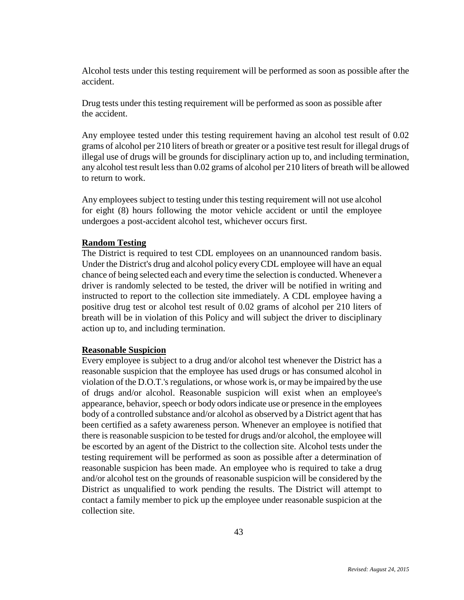Alcohol tests under this testing requirement will be performed as soon as possible after the accident.

Drug tests under this testing requirement will be performed as soon as possible after the accident.

Any employee tested under this testing requirement having an alcohol test result of 0.02 grams of alcohol per 210 liters of breath or greater or a positive test result for illegal drugs of illegal use of drugs will be grounds for disciplinary action up to, and including termination, any alcohol test result less than 0.02 grams of alcohol per 210 liters of breath will be allowed to return to work.

Any employees subject to testing under this testing requirement will not use alcohol for eight (8) hours following the motor vehicle accident or until the employee undergoes a post-accident alcohol test, whichever occurs first.

#### **Random Testing**

The District is required to test CDL employees on an unannounced random basis. Under the District's drug and alcohol policy every CDL employee will have an equal chance of being selected each and every time the selection is conducted. Whenever a driver is randomly selected to be tested, the driver will be notified in writing and instructed to report to the collection site immediately. A CDL employee having a positive drug test or alcohol test result of 0.02 grams of alcohol per 210 liters of breath will be in violation of this Policy and will subject the driver to disciplinary action up to, and including termination.

#### **Reasonable Suspicion**

Every employee is subject to a drug and/or alcohol test whenever the District has a reasonable suspicion that the employee has used drugs or has consumed alcohol in violation of the D.O.T.'s regulations, or whose work is, or may be impaired by the use of drugs and/or alcohol. Reasonable suspicion will exist when an employee's appearance, behavior, speech or body odors indicate use or presence in the employees body of a controlled substance and/or alcohol as observed by a District agent that has been certified as a safety awareness person. Whenever an employee is notified that there is reasonable suspicion to be tested for drugs and/or alcohol, the employee will be escorted by an agent of the District to the collection site. Alcohol tests under the testing requirement will be performed as soon as possible after a determination of reasonable suspicion has been made. An employee who is required to take a drug and/or alcohol test on the grounds of reasonable suspicion will be considered by the District as unqualified to work pending the results. The District will attempt to contact a family member to pick up the employee under reasonable suspicion at the collection site.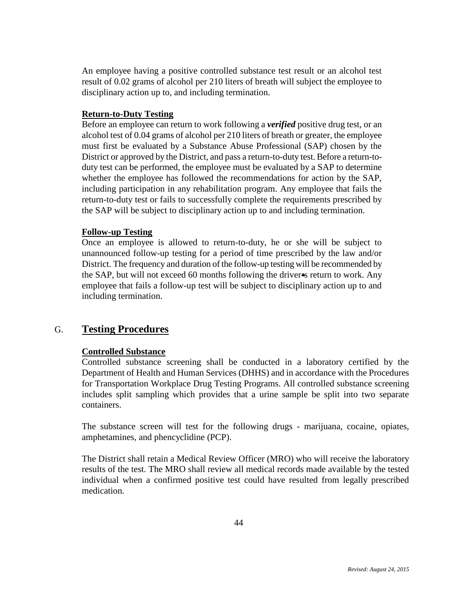An employee having a positive controlled substance test result or an alcohol test result of 0.02 grams of alcohol per 210 liters of breath will subject the employee to disciplinary action up to, and including termination.

#### **Return-to-Duty Testing**

Before an employee can return to work following a *verified* positive drug test, or an alcohol test of 0.04 grams of alcohol per 210 liters of breath or greater, the employee must first be evaluated by a Substance Abuse Professional (SAP) chosen by the District or approved by the District, and pass a return-to-duty test. Before a return-toduty test can be performed, the employee must be evaluated by a SAP to determine whether the employee has followed the recommendations for action by the SAP, including participation in any rehabilitation program. Any employee that fails the return-to-duty test or fails to successfully complete the requirements prescribed by the SAP will be subject to disciplinary action up to and including termination.

#### **Follow-up Testing**

Once an employee is allowed to return-to-duty, he or she will be subject to unannounced follow-up testing for a period of time prescribed by the law and/or District. The frequency and duration of the follow-up testing will be recommended by the SAP, but will not exceed 60 months following the driver is return to work. Any employee that fails a follow-up test will be subject to disciplinary action up to and including termination.

#### G. **Testing Procedures**

#### **Controlled Substance**

Controlled substance screening shall be conducted in a laboratory certified by the Department of Health and Human Services (DHHS) and in accordance with the Procedures for Transportation Workplace Drug Testing Programs. All controlled substance screening includes split sampling which provides that a urine sample be split into two separate containers.

The substance screen will test for the following drugs - marijuana, cocaine, opiates, amphetamines, and phencyclidine (PCP).

The District shall retain a Medical Review Officer (MRO) who will receive the laboratory results of the test. The MRO shall review all medical records made available by the tested individual when a confirmed positive test could have resulted from legally prescribed medication.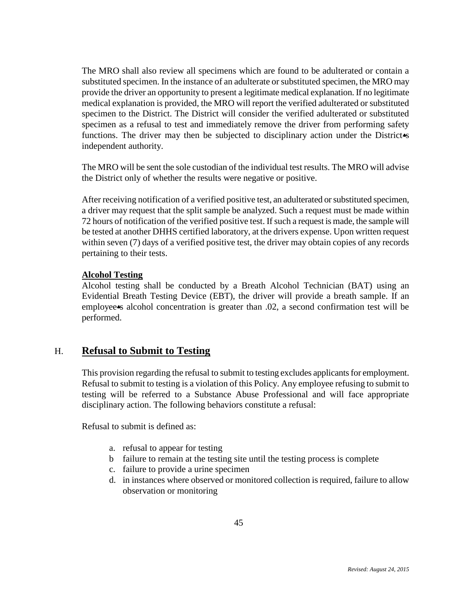The MRO shall also review all specimens which are found to be adulterated or contain a substituted specimen. In the instance of an adulterate or substituted specimen, the MRO may provide the driver an opportunity to present a legitimate medical explanation. If no legitimate medical explanation is provided, the MRO will report the verified adulterated or substituted specimen to the District. The District will consider the verified adulterated or substituted specimen as a refusal to test and immediately remove the driver from performing safety functions. The driver may then be subjected to disciplinary action under the District independent authority.

The MRO will be sent the sole custodian of the individual test results. The MRO will advise the District only of whether the results were negative or positive.

After receiving notification of a verified positive test, an adulterated or substituted specimen, a driver may request that the split sample be analyzed. Such a request must be made within 72 hours of notification of the verified positive test. If such a request is made, the sample will be tested at another DHHS certified laboratory, at the drivers expense. Upon written request within seven (7) days of a verified positive test, the driver may obtain copies of any records pertaining to their tests.

#### **Alcohol Testing**

Alcohol testing shall be conducted by a Breath Alcohol Technician (BAT) using an Evidential Breath Testing Device (EBT), the driver will provide a breath sample. If an employee<sup>s</sup> alcohol concentration is greater than .02, a second confirmation test will be performed.

#### H. **Refusal to Submit to Testing**

This provision regarding the refusal to submit to testing excludes applicants for employment. Refusal to submit to testing is a violation of this Policy. Any employee refusing to submit to testing will be referred to a Substance Abuse Professional and will face appropriate disciplinary action. The following behaviors constitute a refusal:

Refusal to submit is defined as:

- a. refusal to appear for testing
- b failure to remain at the testing site until the testing process is complete
- c. failure to provide a urine specimen
- d. in instances where observed or monitored collection is required, failure to allow observation or monitoring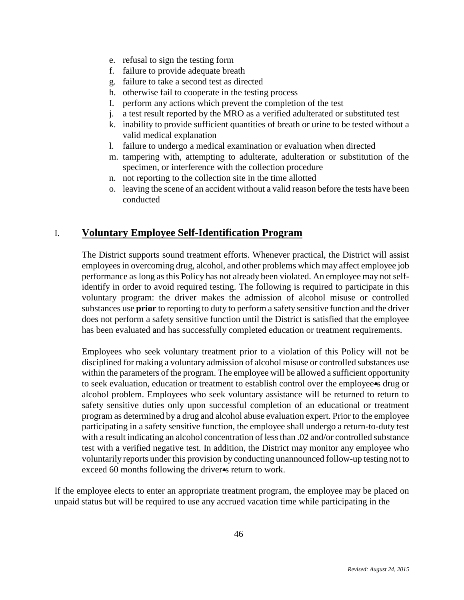- e. refusal to sign the testing form
- f. failure to provide adequate breath
- g. failure to take a second test as directed
- h. otherwise fail to cooperate in the testing process
- I. perform any actions which prevent the completion of the test
- j. a test result reported by the MRO as a verified adulterated or substituted test
- k. inability to provide sufficient quantities of breath or urine to be tested without a valid medical explanation
- l. failure to undergo a medical examination or evaluation when directed
- m. tampering with, attempting to adulterate, adulteration or substitution of the specimen, or interference with the collection procedure
- n. not reporting to the collection site in the time allotted
- o. leaving the scene of an accident without a valid reason before the tests have been conducted

#### I. **Voluntary Employee Self-Identification Program**

The District supports sound treatment efforts. Whenever practical, the District will assist employees in overcoming drug, alcohol, and other problems which may affect employee job performance as long as this Policy has not already been violated. An employee may not selfidentify in order to avoid required testing. The following is required to participate in this voluntary program: the driver makes the admission of alcohol misuse or controlled substances use **prior** to reporting to duty to perform a safety sensitive function and the driver does not perform a safety sensitive function until the District is satisfied that the employee has been evaluated and has successfully completed education or treatment requirements.

Employees who seek voluntary treatment prior to a violation of this Policy will not be disciplined for making a voluntary admission of alcohol misuse or controlled substances use within the parameters of the program. The employee will be allowed a sufficient opportunity to seek evaluation, education or treatment to establish control over the employee is drug or alcohol problem. Employees who seek voluntary assistance will be returned to return to safety sensitive duties only upon successful completion of an educational or treatment program as determined by a drug and alcohol abuse evaluation expert. Prior to the employee participating in a safety sensitive function, the employee shall undergo a return-to-duty test with a result indicating an alcohol concentration of less than .02 and/or controlled substance test with a verified negative test. In addition, the District may monitor any employee who voluntarily reports under this provision by conducting unannounced follow-up testing not to exceed 60 months following the driver<sup>4</sup>s return to work.

If the employee elects to enter an appropriate treatment program, the employee may be placed on unpaid status but will be required to use any accrued vacation time while participating in the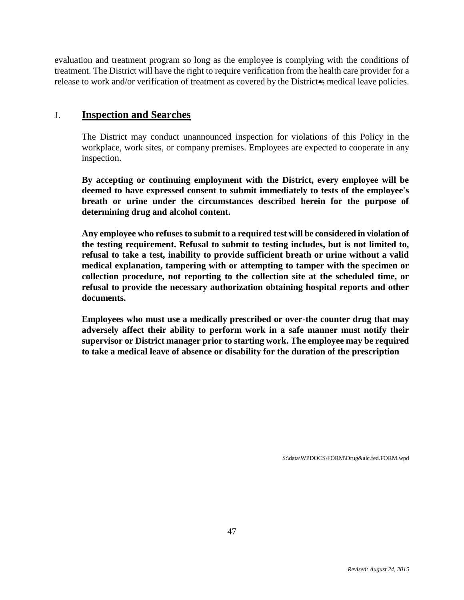evaluation and treatment program so long as the employee is complying with the conditions of treatment. The District will have the right to require verification from the health care provider for a release to work and/or verification of treatment as covered by the District<sup>\*</sup>s medical leave policies.

#### J. **Inspection and Searches**

The District may conduct unannounced inspection for violations of this Policy in the workplace, work sites, or company premises. Employees are expected to cooperate in any inspection.

**By accepting or continuing employment with the District, every employee will be deemed to have expressed consent to submit immediately to tests of the employee's breath or urine under the circumstances described herein for the purpose of determining drug and alcohol content.**

**Any employee who refuses to submit to a required test will be considered in violation of the testing requirement. Refusal to submit to testing includes, but is not limited to, refusal to take a test, inability to provide sufficient breath or urine without a valid medical explanation, tampering with or attempting to tamper with the specimen or collection procedure, not reporting to the collection site at the scheduled time, or refusal to provide the necessary authorization obtaining hospital reports and other documents.**

**Employees who must use a medically prescribed or over-the counter drug that may adversely affect their ability to perform work in a safe manner must notify their supervisor or District manager prior to starting work. The employee may be required to take a medical leave of absence or disability for the duration of the prescription**

S:\data\WPDOCS\FORM\Drug&alc.fed.FORM.wpd